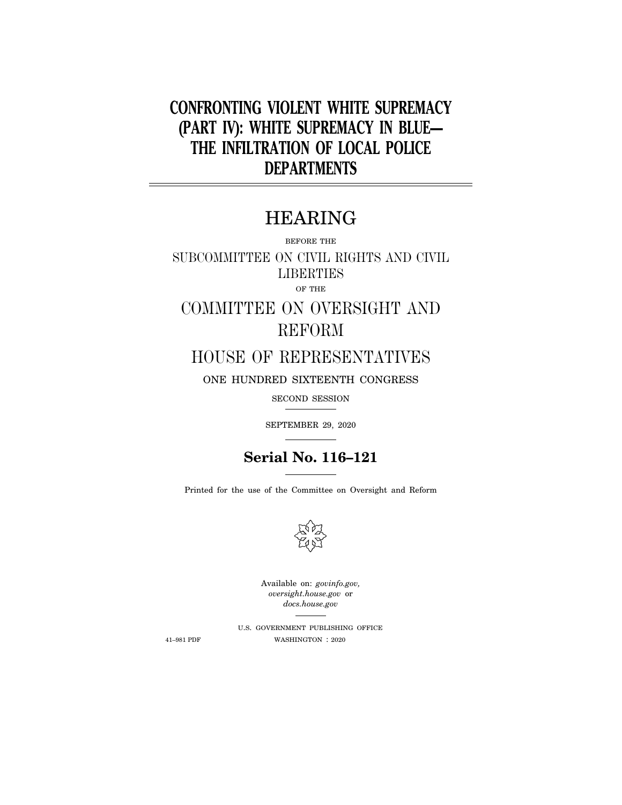# **CONFRONTING VIOLENT WHITE SUPREMACY (PART IV): WHITE SUPREMACY IN BLUE— THE INFILTRATION OF LOCAL POLICE DEPARTMENTS**

# HEARING

BEFORE THE

SUBCOMMITTEE ON CIVIL RIGHTS AND CIVIL **LIBERTIES** OF THE

COMMITTEE ON OVERSIGHT AND REFORM

## HOUSE OF REPRESENTATIVES

ONE HUNDRED SIXTEENTH CONGRESS

SECOND SESSION

SEPTEMBER 29, 2020

## **Serial No. 116–121**

Printed for the use of the Committee on Oversight and Reform



Available on: *govinfo.gov, oversight.house.gov* or *docs.house.gov* 

U.S. GOVERNMENT PUBLISHING OFFICE 41–981 PDF WASHINGTON : 2020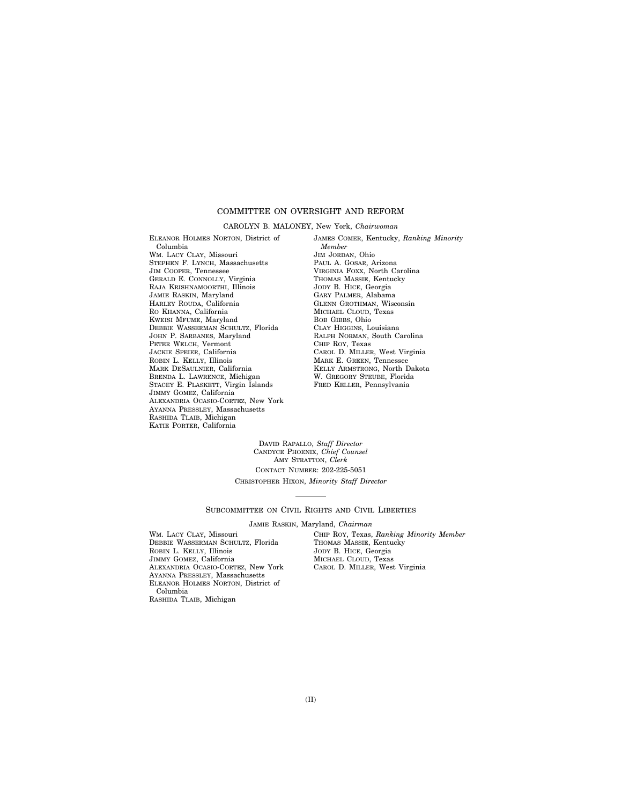### COMMITTEE ON OVERSIGHT AND REFORM

#### CAROLYN B. MALONEY, New York, *Chairwoman*

ELEANOR HOLMES NORTON, District of Columbia WM. LACY CLAY, Missouri STEPHEN F. LYNCH, Massachusetts JIM COOPER, Tennessee GERALD E. CONNOLLY, Virginia RAJA KRISHNAMOORTHI, Illinois JAMIE RASKIN, Maryland HARLEY ROUDA, California RO KHANNA, California KWEISI MFUME, Maryland DEBBIE WASSERMAN SCHULTZ, Florida JOHN P. SARBANES, Maryland PETER WELCH, Vermont JACKIE SPEIER, California ROBIN L. KELLY, Illinois MARK DESAULNIER, California BRENDA L. LAWRENCE, Michigan STACEY E. PLASKETT, Virgin Islands JIMMY GOMEZ, California ALEXANDRIA OCASIO-CORTEZ, New York AYANNA PRESSLEY, Massachusetts RASHIDA TLAIB, Michigan KATIE PORTER, California

JAMES COMER, Kentucky, *Ranking Minority Member*  JIM JORDAN, Ohio PAUL A. GOSAR, Arizona VIRGINIA FOXX, North Carolina THOMAS MASSIE, Kentucky JODY B. HICE, Georgia GARY PALMER, Alabama GLENN GROTHMAN, Wisconsin MICHAEL CLOUD, Texas BOB GIBBS, Ohio CLAY HIGGINS, Louisiana RALPH NORMAN, South Carolina CHIP ROY, Texas CAROL D. MILLER, West Virginia MARK E. GREEN, Tennessee KELLY ARMSTRONG, North Dakota W. GREGORY STEUBE, Florida FRED KELLER, Pennsylvania

DAVID RAPALLO, *Staff Director*  CANDYCE PHOENIX, *Chief Counsel*  AMY STRATTON, *Clerk*  CONTACT NUMBER: 202-225-5051

#### CHRISTOPHER HIXON, *Minority Staff Director*

#### SUBCOMMITTEE ON CIVIL RIGHTS AND CIVIL LIBERTIES

JAMIE RASKIN, Maryland, *Chairman* 

WM. LACY CLAY, Missouri DEBBIE WASSERMAN SCHULTZ, Florida ROBIN L. KELLY, Illinois JIMMY GOMEZ, California ALEXANDRIA OCASIO-CORTEZ, New York AYANNA PRESSLEY, Massachusetts ELEANOR HOLMES NORTON, District of Columbia RASHIDA TLAIB, Michigan

CHIP ROY, Texas, *Ranking Minority Member*  THOMAS MASSIE, Kentucky JODY B. HICE, Georgia MICHAEL CLOUD, Texas CAROL D. MILLER, West Virginia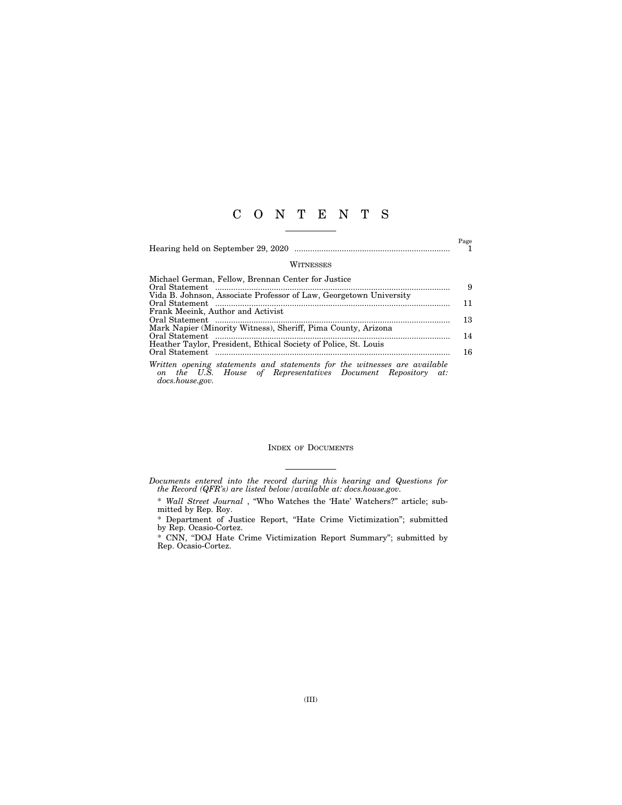## C O N T E N T S

|                                                                                                                                                              | Page |
|--------------------------------------------------------------------------------------------------------------------------------------------------------------|------|
| WITNESSES                                                                                                                                                    |      |
| Michael German, Fellow, Brennan Center for Justice                                                                                                           | 9    |
| Vida B. Johnson, Associate Professor of Law, Georgetown University                                                                                           | 11   |
| Frank Meeink, Author and Activist                                                                                                                            | 13   |
| Mark Napier (Minority Witness), Sheriff, Pima County, Arizona                                                                                                | 14   |
| Heather Taylor, President, Ethical Society of Police, St. Louis                                                                                              | 16   |
| Written opening statements and statements for the witnesses are available<br>on the U.S. House of Representatives Document Repository at:<br>docs.house.gov. |      |

#### INDEX OF DOCUMENTS

*Documents entered into the record during this hearing and Questions for the Record (QFR's) are listed below/available at: docs.house.gov.* 

<sup>\*</sup> *Wall Street Journal* , ''Who Watches the 'Hate' Watchers?'' article; submitted by Rep. Roy.

<sup>\*</sup> Department of Justice Report, ''Hate Crime Victimization''; submitted by Rep. Ocasio-Cortez.

<sup>\*</sup> CNN, ''DOJ Hate Crime Victimization Report Summary''; submitted by Rep. Ocasio-Cortez.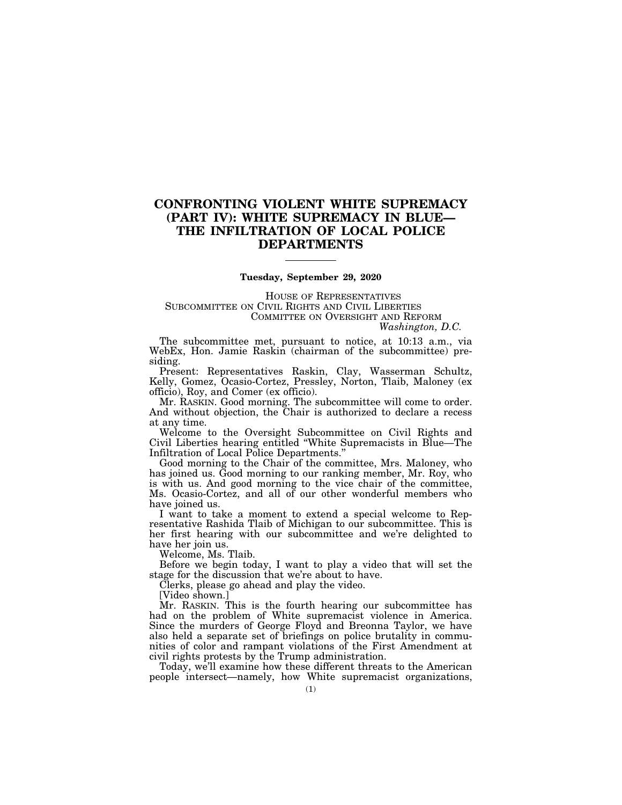### **CONFRONTING VIOLENT WHITE SUPREMACY (PART IV): WHITE SUPREMACY IN BLUE— THE INFILTRATION OF LOCAL POLICE DEPARTMENTS**

#### **Tuesday, September 29, 2020**

HOUSE OF REPRESENTATIVES SUBCOMMITTEE ON CIVIL RIGHTS AND CIVIL LIBERTIES COMMITTEE ON OVERSIGHT AND REFORM *Washington, D.C.* 

The subcommittee met, pursuant to notice, at 10:13 a.m., via WebEx, Hon. Jamie Raskin (chairman of the subcommittee) presiding.

Present: Representatives Raskin, Clay, Wasserman Schultz, Kelly, Gomez, Ocasio-Cortez, Pressley, Norton, Tlaib, Maloney (ex officio), Roy, and Comer (ex officio).

Mr. RASKIN. Good morning. The subcommittee will come to order. And without objection, the Chair is authorized to declare a recess at any time.

Welcome to the Oversight Subcommittee on Civil Rights and Civil Liberties hearing entitled ''White Supremacists in Blue—The Infiltration of Local Police Departments.''

Good morning to the Chair of the committee, Mrs. Maloney, who has joined us. Good morning to our ranking member, Mr. Roy, who is with us. And good morning to the vice chair of the committee, Ms. Ocasio-Cortez, and all of our other wonderful members who have joined us.

I want to take a moment to extend a special welcome to Representative Rashida Tlaib of Michigan to our subcommittee. This is her first hearing with our subcommittee and we're delighted to have her join us.

Welcome, Ms. Tlaib.

Before we begin today, I want to play a video that will set the stage for the discussion that we're about to have.

Clerks, please go ahead and play the video.

[Video shown.]

Mr. RASKIN. This is the fourth hearing our subcommittee has had on the problem of White supremacist violence in America. Since the murders of George Floyd and Breonna Taylor, we have also held a separate set of briefings on police brutality in communities of color and rampant violations of the First Amendment at civil rights protests by the Trump administration.

Today, we'll examine how these different threats to the American people intersect—namely, how White supremacist organizations,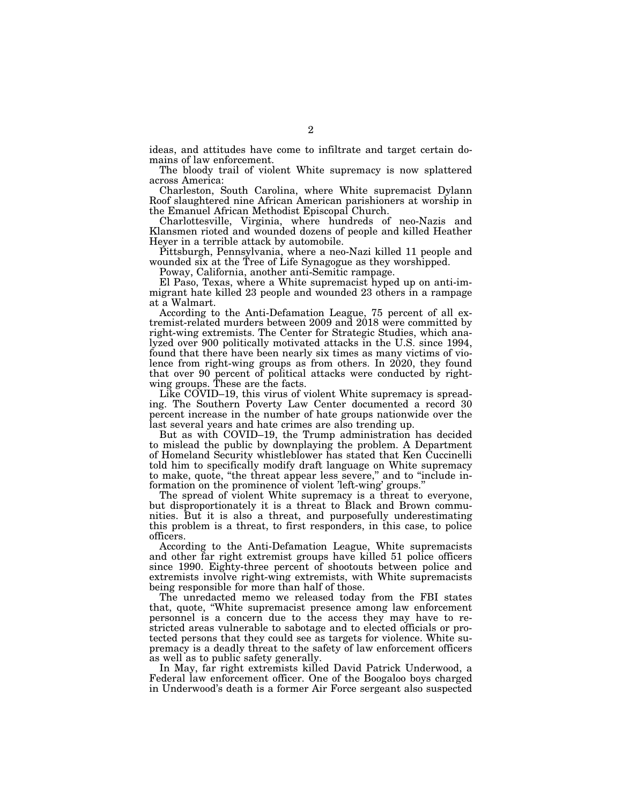ideas, and attitudes have come to infiltrate and target certain domains of law enforcement.

The bloody trail of violent White supremacy is now splattered across America:

Charleston, South Carolina, where White supremacist Dylann Roof slaughtered nine African American parishioners at worship in the Emanuel African Methodist Episcopal Church.

Charlottesville, Virginia, where hundreds of neo-Nazis and Klansmen rioted and wounded dozens of people and killed Heather Heyer in a terrible attack by automobile.

Pittsburgh, Pennsylvania, where a neo-Nazi killed 11 people and wounded six at the Tree of Life Synagogue as they worshipped.

Poway, California, another anti-Semitic rampage.

El Paso, Texas, where a White supremacist hyped up on anti-immigrant hate killed 23 people and wounded 23 others in a rampage at a Walmart.

According to the Anti-Defamation League, 75 percent of all extremist-related murders between 2009 and 2018 were committed by right-wing extremists. The Center for Strategic Studies, which analyzed over 900 politically motivated attacks in the U.S. since 1994, found that there have been nearly six times as many victims of violence from right-wing groups as from others. In 2020, they found that over 90 percent of political attacks were conducted by rightwing groups. These are the facts.

Like COVID–19, this virus of violent White supremacy is spreading. The Southern Poverty Law Center documented a record 30 percent increase in the number of hate groups nationwide over the last several years and hate crimes are also trending up.

But as with COVID–19, the Trump administration has decided to mislead the public by downplaying the problem. A Department of Homeland Security whistleblower has stated that Ken Cuccinelli told him to specifically modify draft language on White supremacy to make, quote, "the threat appear less severe," and to "include information on the prominence of violent 'left-wing' groups.''

The spread of violent White supremacy is a threat to everyone, but disproportionately it is a threat to Black and Brown communities. But it is also a threat, and purposefully underestimating this problem is a threat, to first responders, in this case, to police officers.

According to the Anti-Defamation League, White supremacists and other far right extremist groups have killed 51 police officers since 1990. Eighty-three percent of shootouts between police and extremists involve right-wing extremists, with White supremacists being responsible for more than half of those.

The unredacted memo we released today from the FBI states that, quote, ''White supremacist presence among law enforcement personnel is a concern due to the access they may have to restricted areas vulnerable to sabotage and to elected officials or protected persons that they could see as targets for violence. White supremacy is a deadly threat to the safety of law enforcement officers as well as to public safety generally.

In May, far right extremists killed David Patrick Underwood, a Federal law enforcement officer. One of the Boogaloo boys charged in Underwood's death is a former Air Force sergeant also suspected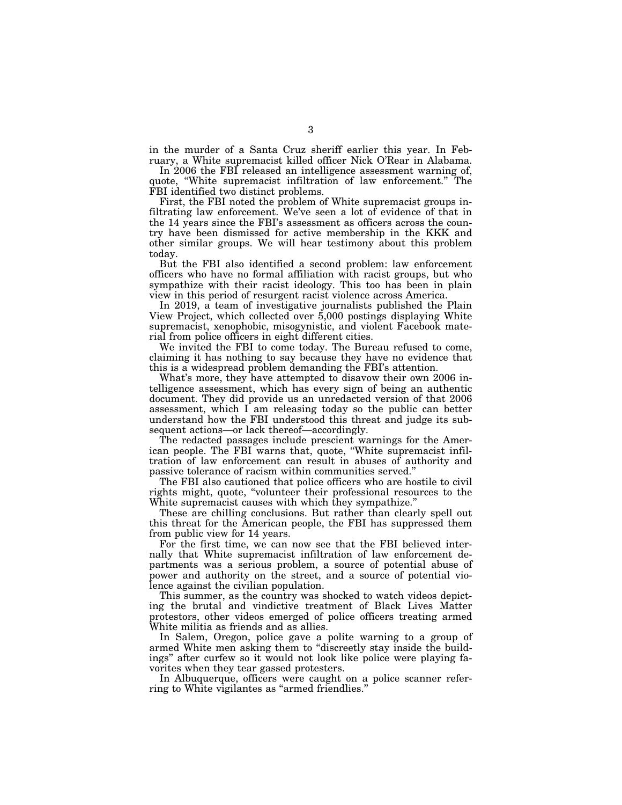in the murder of a Santa Cruz sheriff earlier this year. In February, a White supremacist killed officer Nick O'Rear in Alabama.

In 2006 the FBI released an intelligence assessment warning of, quote, "White supremacist infiltration of law enforcement." The FBI identified two distinct problems.

First, the FBI noted the problem of White supremacist groups infiltrating law enforcement. We've seen a lot of evidence of that in the 14 years since the FBI's assessment as officers across the country have been dismissed for active membership in the KKK and other similar groups. We will hear testimony about this problem today.

But the FBI also identified a second problem: law enforcement officers who have no formal affiliation with racist groups, but who sympathize with their racist ideology. This too has been in plain view in this period of resurgent racist violence across America.

In 2019, a team of investigative journalists published the Plain View Project, which collected over 5,000 postings displaying White supremacist, xenophobic, misogynistic, and violent Facebook material from police officers in eight different cities.

We invited the FBI to come today. The Bureau refused to come, claiming it has nothing to say because they have no evidence that this is a widespread problem demanding the FBI's attention.

What's more, they have attempted to disavow their own 2006 intelligence assessment, which has every sign of being an authentic document. They did provide us an unredacted version of that 2006 assessment, which I am releasing today so the public can better understand how the FBI understood this threat and judge its subsequent actions—or lack thereof—accordingly.

The redacted passages include prescient warnings for the American people. The FBI warns that, quote, ''White supremacist infiltration of law enforcement can result in abuses of authority and passive tolerance of racism within communities served.''

The FBI also cautioned that police officers who are hostile to civil rights might, quote, ''volunteer their professional resources to the White supremacist causes with which they sympathize.''

These are chilling conclusions. But rather than clearly spell out this threat for the American people, the FBI has suppressed them from public view for 14 years.

For the first time, we can now see that the FBI believed internally that White supremacist infiltration of law enforcement departments was a serious problem, a source of potential abuse of power and authority on the street, and a source of potential violence against the civilian population.

This summer, as the country was shocked to watch videos depicting the brutal and vindictive treatment of Black Lives Matter protestors, other videos emerged of police officers treating armed White militia as friends and as allies.

In Salem, Oregon, police gave a polite warning to a group of armed White men asking them to "discreetly stay inside the buildings'' after curfew so it would not look like police were playing favorites when they tear gassed protesters.

In Albuquerque, officers were caught on a police scanner referring to White vigilantes as ''armed friendlies.''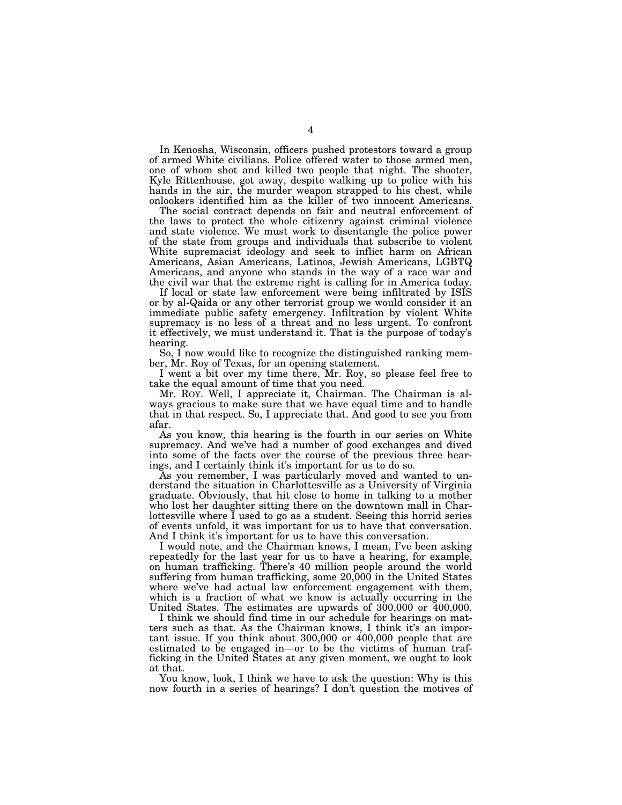In Kenosha, Wisconsin, officers pushed protestors toward a group of armed White civilians. Police offered water to those armed men, one of whom shot and killed two people that night. The shooter, Kyle Rittenhouse, got away, despite walking up to police with his hands in the air, the murder weapon strapped to his chest, while onlookers identified him as the killer of two innocent Americans.

The social contract depends on fair and neutral enforcement of the laws to protect the whole citizenry against criminal violence and state violence. We must work to disentangle the police power of the state from groups and individuals that subscribe to violent White supremacist ideology and seek to inflict harm on African Americans, Asian Americans, Latinos, Jewish Americans, LGBTQ Americans, and anyone who stands in the way of a race war and the civil war that the extreme right is calling for in America today.

If local or state law enforcement were being infiltrated by ISIS or by al-Qaida or any other terrorist group we would consider it an immediate public safety emergency. Infiltration by violent White supremacy is no less of a threat and no less urgent. To confront it effectively, we must understand it. That is the purpose of today's hearing.

So, I now would like to recognize the distinguished ranking member, Mr. Roy of Texas, for an opening statement.

I went a bit over my time there, Mr. Roy, so please feel free to take the equal amount of time that you need.

Mr. ROY. Well, I appreciate it, Chairman. The Chairman is always gracious to make sure that we have equal time and to handle that in that respect. So, I appreciate that. And good to see you from afar.

As you know, this hearing is the fourth in our series on White supremacy. And we've had a number of good exchanges and dived into some of the facts over the course of the previous three hearings, and I certainly think it's important for us to do so.

As you remember, I was particularly moved and wanted to understand the situation in Charlottesville as a University of Virginia graduate. Obviously, that hit close to home in talking to a mother who lost her daughter sitting there on the downtown mall in Charlottesville where I used to go as a student. Seeing this horrid series of events unfold, it was important for us to have that conversation. And I think it's important for us to have this conversation.

I would note, and the Chairman knows, I mean, I've been asking repeatedly for the last year for us to have a hearing, for example, on human trafficking. There's 40 million people around the world suffering from human trafficking, some 20,000 in the United States where we've had actual law enforcement engagement with them, which is a fraction of what we know is actually occurring in the United States. The estimates are upwards of 300,000 or 400,000.

I think we should find time in our schedule for hearings on matters such as that. As the Chairman knows, I think it's an important issue. If you think about 300,000 or 400,000 people that are estimated to be engaged in—or to be the victims of human trafficking in the United States at any given moment, we ought to look at that.

You know, look, I think we have to ask the question: Why is this now fourth in a series of hearings? I don't question the motives of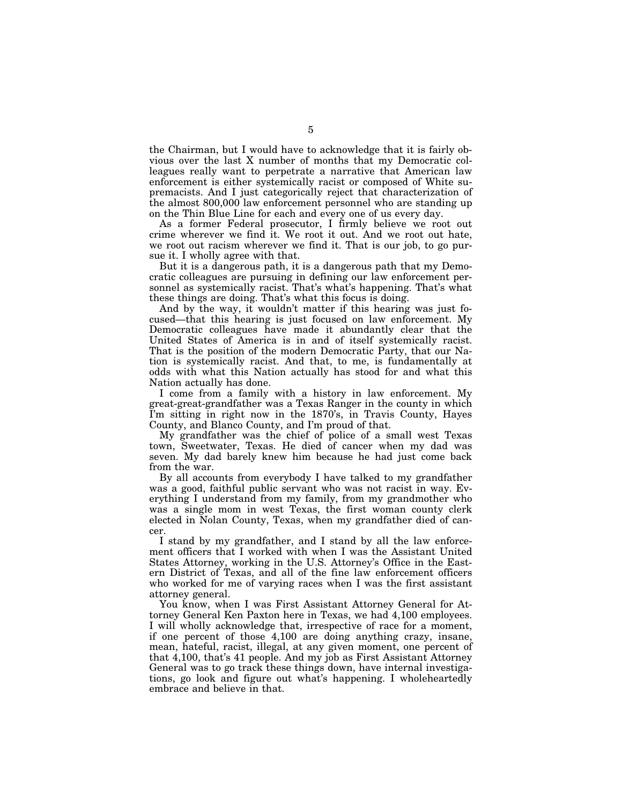the Chairman, but I would have to acknowledge that it is fairly obvious over the last X number of months that my Democratic colleagues really want to perpetrate a narrative that American law enforcement is either systemically racist or composed of White supremacists. And I just categorically reject that characterization of the almost 800,000 law enforcement personnel who are standing up on the Thin Blue Line for each and every one of us every day.

As a former Federal prosecutor, I firmly believe we root out crime wherever we find it. We root it out. And we root out hate, we root out racism wherever we find it. That is our job, to go pursue it. I wholly agree with that.

But it is a dangerous path, it is a dangerous path that my Democratic colleagues are pursuing in defining our law enforcement personnel as systemically racist. That's what's happening. That's what these things are doing. That's what this focus is doing.

And by the way, it wouldn't matter if this hearing was just focused—that this hearing is just focused on law enforcement. My Democratic colleagues have made it abundantly clear that the United States of America is in and of itself systemically racist. That is the position of the modern Democratic Party, that our Nation is systemically racist. And that, to me, is fundamentally at odds with what this Nation actually has stood for and what this Nation actually has done.

I come from a family with a history in law enforcement. My great-great-grandfather was a Texas Ranger in the county in which I'm sitting in right now in the 1870's, in Travis County, Hayes County, and Blanco County, and I'm proud of that.

My grandfather was the chief of police of a small west Texas town, Sweetwater, Texas. He died of cancer when my dad was seven. My dad barely knew him because he had just come back from the war.

By all accounts from everybody I have talked to my grandfather was a good, faithful public servant who was not racist in way. Everything I understand from my family, from my grandmother who was a single mom in west Texas, the first woman county clerk elected in Nolan County, Texas, when my grandfather died of cancer.

I stand by my grandfather, and I stand by all the law enforcement officers that I worked with when I was the Assistant United States Attorney, working in the U.S. Attorney's Office in the Eastern District of Texas, and all of the fine law enforcement officers who worked for me of varying races when I was the first assistant attorney general.

You know, when I was First Assistant Attorney General for Attorney General Ken Paxton here in Texas, we had 4,100 employees. I will wholly acknowledge that, irrespective of race for a moment, if one percent of those 4,100 are doing anything crazy, insane, mean, hateful, racist, illegal, at any given moment, one percent of that 4,100, that's 41 people. And my job as First Assistant Attorney General was to go track these things down, have internal investigations, go look and figure out what's happening. I wholeheartedly embrace and believe in that.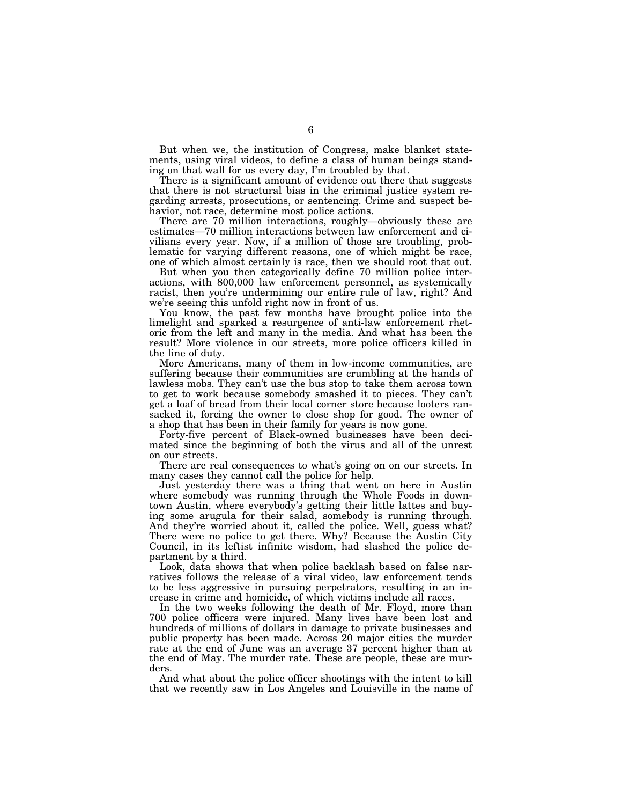But when we, the institution of Congress, make blanket statements, using viral videos, to define a class of human beings standing on that wall for us every day, I'm troubled by that.

There is a significant amount of evidence out there that suggests that there is not structural bias in the criminal justice system regarding arrests, prosecutions, or sentencing. Crime and suspect behavior, not race, determine most police actions.

There are 70 million interactions, roughly—obviously these are estimates—70 million interactions between law enforcement and civilians every year. Now, if a million of those are troubling, problematic for varying different reasons, one of which might be race, one of which almost certainly is race, then we should root that out.

But when you then categorically define 70 million police interactions, with 800,000 law enforcement personnel, as systemically racist, then you're undermining our entire rule of law, right? And we're seeing this unfold right now in front of us.

You know, the past few months have brought police into the limelight and sparked a resurgence of anti-law enforcement rhetoric from the left and many in the media. And what has been the result? More violence in our streets, more police officers killed in the line of duty.

More Americans, many of them in low-income communities, are suffering because their communities are crumbling at the hands of lawless mobs. They can't use the bus stop to take them across town to get to work because somebody smashed it to pieces. They can't get a loaf of bread from their local corner store because looters ransacked it, forcing the owner to close shop for good. The owner of a shop that has been in their family for years is now gone.

Forty-five percent of Black-owned businesses have been decimated since the beginning of both the virus and all of the unrest on our streets.

There are real consequences to what's going on on our streets. In many cases they cannot call the police for help.

Just yesterday there was a thing that went on here in Austin where somebody was running through the Whole Foods in downtown Austin, where everybody's getting their little lattes and buying some arugula for their salad, somebody is running through. And they're worried about it, called the police. Well, guess what? There were no police to get there. Why? Because the Austin City Council, in its leftist infinite wisdom, had slashed the police department by a third.

Look, data shows that when police backlash based on false narratives follows the release of a viral video, law enforcement tends to be less aggressive in pursuing perpetrators, resulting in an increase in crime and homicide, of which victims include all races.

In the two weeks following the death of Mr. Floyd, more than 700 police officers were injured. Many lives have been lost and hundreds of millions of dollars in damage to private businesses and public property has been made. Across 20 major cities the murder rate at the end of June was an average 37 percent higher than at the end of May. The murder rate. These are people, these are murders.

And what about the police officer shootings with the intent to kill that we recently saw in Los Angeles and Louisville in the name of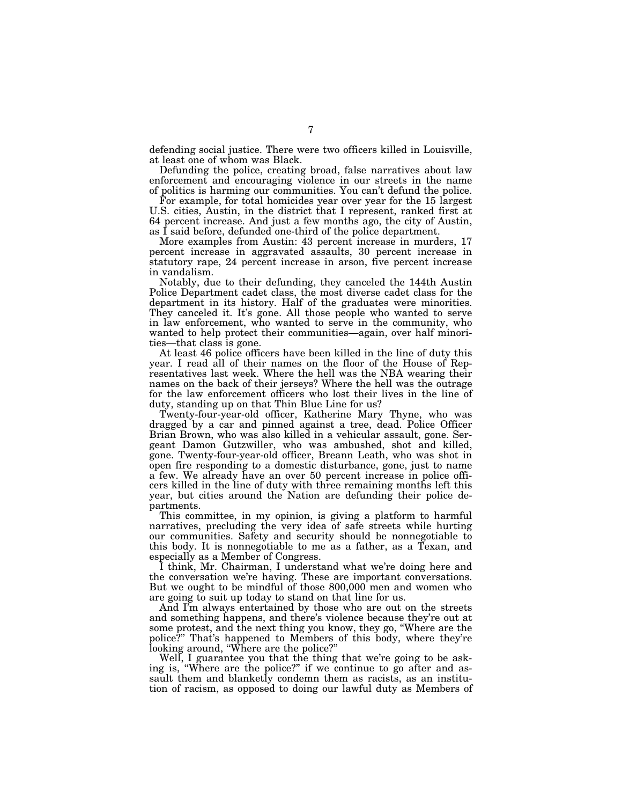defending social justice. There were two officers killed in Louisville, at least one of whom was Black.

Defunding the police, creating broad, false narratives about law enforcement and encouraging violence in our streets in the name of politics is harming our communities. You can't defund the police.

For example, for total homicides year over year for the 15 largest U.S. cities, Austin, in the district that I represent, ranked first at 64 percent increase. And just a few months ago, the city of Austin, as I said before, defunded one-third of the police department.

More examples from Austin: 43 percent increase in murders, 17 percent increase in aggravated assaults, 30 percent increase in statutory rape, 24 percent increase in arson, five percent increase in vandalism.

Notably, due to their defunding, they canceled the 144th Austin Police Department cadet class, the most diverse cadet class for the department in its history. Half of the graduates were minorities. They canceled it. It's gone. All those people who wanted to serve in law enforcement, who wanted to serve in the community, who wanted to help protect their communities—again, over half minorities—that class is gone.

At least 46 police officers have been killed in the line of duty this year. I read all of their names on the floor of the House of Representatives last week. Where the hell was the NBA wearing their names on the back of their jerseys? Where the hell was the outrage for the law enforcement officers who lost their lives in the line of duty, standing up on that Thin Blue Line for us?

Twenty-four-year-old officer, Katherine Mary Thyne, who was dragged by a car and pinned against a tree, dead. Police Officer Brian Brown, who was also killed in a vehicular assault, gone. Sergeant Damon Gutzwiller, who was ambushed, shot and killed, gone. Twenty-four-year-old officer, Breann Leath, who was shot in open fire responding to a domestic disturbance, gone, just to name a few. We already have an over 50 percent increase in police officers killed in the line of duty with three remaining months left this year, but cities around the Nation are defunding their police departments.

This committee, in my opinion, is giving a platform to harmful narratives, precluding the very idea of safe streets while hurting our communities. Safety and security should be nonnegotiable to this body. It is nonnegotiable to me as a father, as a Texan, and especially as a Member of Congress.

I think, Mr. Chairman, I understand what we're doing here and the conversation we're having. These are important conversations. But we ought to be mindful of those 800,000 men and women who are going to suit up today to stand on that line for us.

And I'm always entertained by those who are out on the streets and something happens, and there's violence because they're out at some protest, and the next thing you know, they go, ''Where are the police?'' That's happened to Members of this body, where they're looking around, "Where are the police?"

Well, I guarantee you that the thing that we're going to be asking is, ''Where are the police?'' if we continue to go after and assault them and blanketly condemn them as racists, as an institution of racism, as opposed to doing our lawful duty as Members of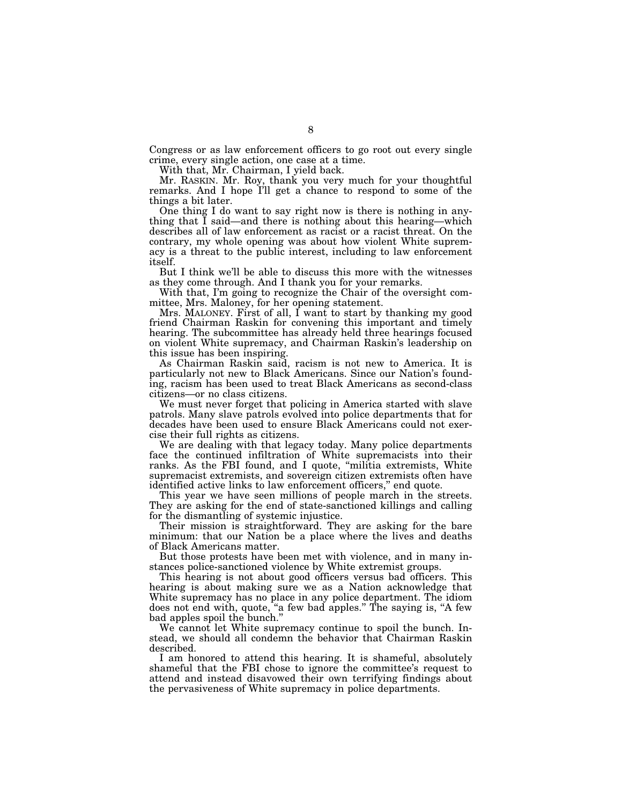Congress or as law enforcement officers to go root out every single crime, every single action, one case at a time.

With that, Mr. Chairman, I yield back.

Mr. RASKIN. Mr. Roy, thank you very much for your thoughtful remarks. And I hope I'll get a chance to respond to some of the things a bit later.

One thing I do want to say right now is there is nothing in anything that I said—and there is nothing about this hearing—which describes all of law enforcement as racist or a racist threat. On the contrary, my whole opening was about how violent White supremacy is a threat to the public interest, including to law enforcement itself.

But I think we'll be able to discuss this more with the witnesses as they come through. And I thank you for your remarks.

With that, I'm going to recognize the Chair of the oversight committee, Mrs. Maloney, for her opening statement.

Mrs. MALONEY. First of all, I want to start by thanking my good friend Chairman Raskin for convening this important and timely hearing. The subcommittee has already held three hearings focused on violent White supremacy, and Chairman Raskin's leadership on this issue has been inspiring.

As Chairman Raskin said, racism is not new to America. It is particularly not new to Black Americans. Since our Nation's founding, racism has been used to treat Black Americans as second-class citizens—or no class citizens.

We must never forget that policing in America started with slave patrols. Many slave patrols evolved into police departments that for decades have been used to ensure Black Americans could not exercise their full rights as citizens.

We are dealing with that legacy today. Many police departments face the continued infiltration of White supremacists into their ranks. As the FBI found, and I quote, "militia extremists, White supremacist extremists, and sovereign citizen extremists often have identified active links to law enforcement officers,'' end quote.

This year we have seen millions of people march in the streets. They are asking for the end of state-sanctioned killings and calling for the dismantling of systemic injustice.

Their mission is straightforward. They are asking for the bare minimum: that our Nation be a place where the lives and deaths of Black Americans matter.

But those protests have been met with violence, and in many instances police-sanctioned violence by White extremist groups.

This hearing is not about good officers versus bad officers. This hearing is about making sure we as a Nation acknowledge that White supremacy has no place in any police department. The idiom does not end with, quote, ''a few bad apples.'' The saying is, ''A few bad apples spoil the bunch.''

We cannot let White supremacy continue to spoil the bunch. Instead, we should all condemn the behavior that Chairman Raskin described.

I am honored to attend this hearing. It is shameful, absolutely shameful that the FBI chose to ignore the committee's request to attend and instead disavowed their own terrifying findings about the pervasiveness of White supremacy in police departments.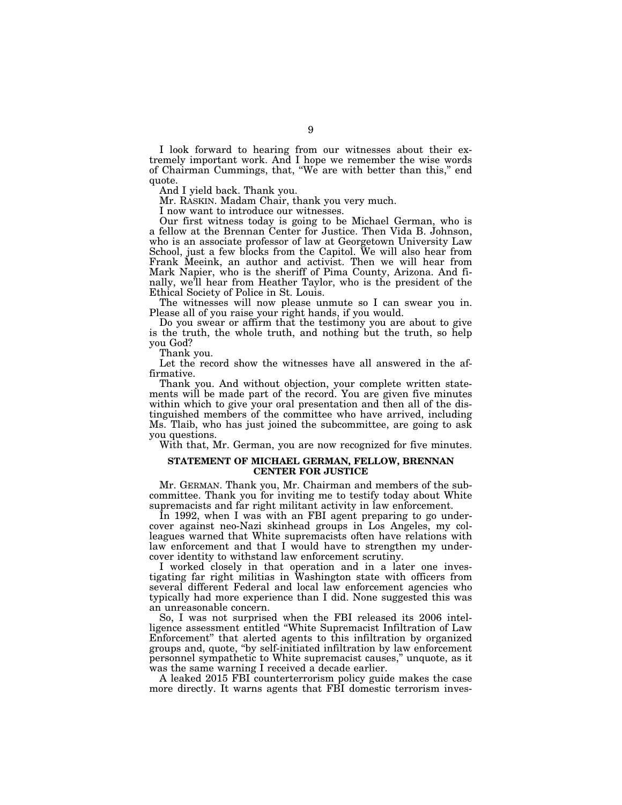I look forward to hearing from our witnesses about their extremely important work. And I hope we remember the wise words of Chairman Cummings, that, ''We are with better than this,'' end quote.

And I yield back. Thank you.

Mr. RASKIN. Madam Chair, thank you very much.

I now want to introduce our witnesses.

Our first witness today is going to be Michael German, who is a fellow at the Brennan Center for Justice. Then Vida B. Johnson, who is an associate professor of law at Georgetown University Law School, just a few blocks from the Capitol. We will also hear from Frank Meeink, an author and activist. Then we will hear from Mark Napier, who is the sheriff of Pima County, Arizona. And finally, we'll hear from Heather Taylor, who is the president of the Ethical Society of Police in St. Louis.

The witnesses will now please unmute so I can swear you in. Please all of you raise your right hands, if you would.

Do you swear or affirm that the testimony you are about to give is the truth, the whole truth, and nothing but the truth, so help you God?

Thank you.

Let the record show the witnesses have all answered in the affirmative.

Thank you. And without objection, your complete written statements will be made part of the record. You are given five minutes within which to give your oral presentation and then all of the distinguished members of the committee who have arrived, including Ms. Tlaib, who has just joined the subcommittee, are going to ask you questions.

With that, Mr. German, you are now recognized for five minutes.

#### **STATEMENT OF MICHAEL GERMAN, FELLOW, BRENNAN CENTER FOR JUSTICE**

Mr. GERMAN. Thank you, Mr. Chairman and members of the subcommittee. Thank you for inviting me to testify today about White supremacists and far right militant activity in law enforcement.

In 1992, when I was with an FBI agent preparing to go undercover against neo-Nazi skinhead groups in Los Angeles, my colleagues warned that White supremacists often have relations with law enforcement and that I would have to strengthen my undercover identity to withstand law enforcement scrutiny.

I worked closely in that operation and in a later one investigating far right militias in Washington state with officers from several different Federal and local law enforcement agencies who typically had more experience than I did. None suggested this was an unreasonable concern.

So, I was not surprised when the FBI released its 2006 intelligence assessment entitled ''White Supremacist Infiltration of Law Enforcement'' that alerted agents to this infiltration by organized groups and, quote, ''by self-initiated infiltration by law enforcement personnel sympathetic to White supremacist causes,'' unquote, as it was the same warning I received a decade earlier.

A leaked 2015 FBI counterterrorism policy guide makes the case more directly. It warns agents that FBI domestic terrorism inves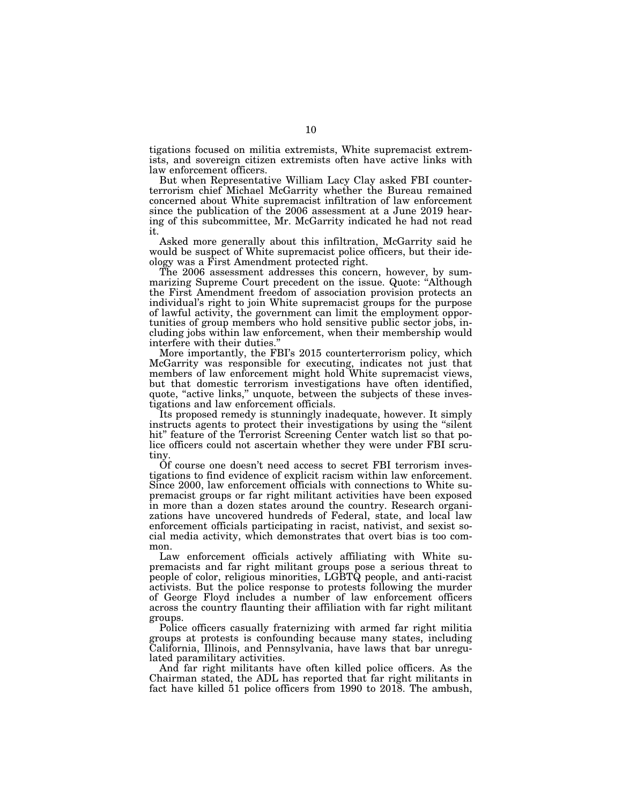tigations focused on militia extremists, White supremacist extremists, and sovereign citizen extremists often have active links with law enforcement officers.

But when Representative William Lacy Clay asked FBI counterterrorism chief Michael McGarrity whether the Bureau remained concerned about White supremacist infiltration of law enforcement since the publication of the 2006 assessment at a June 2019 hearing of this subcommittee, Mr. McGarrity indicated he had not read it.

Asked more generally about this infiltration, McGarrity said he would be suspect of White supremacist police officers, but their ideology was a First Amendment protected right.

The 2006 assessment addresses this concern, however, by summarizing Supreme Court precedent on the issue. Quote: ''Although the First Amendment freedom of association provision protects an individual's right to join White supremacist groups for the purpose of lawful activity, the government can limit the employment opportunities of group members who hold sensitive public sector jobs, including jobs within law enforcement, when their membership would interfere with their duties.''

More importantly, the FBI's 2015 counterterrorism policy, which McGarrity was responsible for executing, indicates not just that members of law enforcement might hold White supremacist views, but that domestic terrorism investigations have often identified, quote, "active links," unquote, between the subjects of these investigations and law enforcement officials.

Its proposed remedy is stunningly inadequate, however. It simply instructs agents to protect their investigations by using the "silent hit" feature of the Terrorist Screening Center watch list so that police officers could not ascertain whether they were under FBI scrutiny.

Of course one doesn't need access to secret FBI terrorism investigations to find evidence of explicit racism within law enforcement. Since 2000, law enforcement officials with connections to White supremacist groups or far right militant activities have been exposed in more than a dozen states around the country. Research organizations have uncovered hundreds of Federal, state, and local law enforcement officials participating in racist, nativist, and sexist social media activity, which demonstrates that overt bias is too common.

Law enforcement officials actively affiliating with White supremacists and far right militant groups pose a serious threat to people of color, religious minorities, LGBTQ people, and anti-racist activists. But the police response to protests following the murder of George Floyd includes a number of law enforcement officers across the country flaunting their affiliation with far right militant groups.

Police officers casually fraternizing with armed far right militia groups at protests is confounding because many states, including California, Illinois, and Pennsylvania, have laws that bar unregulated paramilitary activities.

And far right militants have often killed police officers. As the Chairman stated, the ADL has reported that far right militants in fact have killed 51 police officers from 1990 to 2018. The ambush,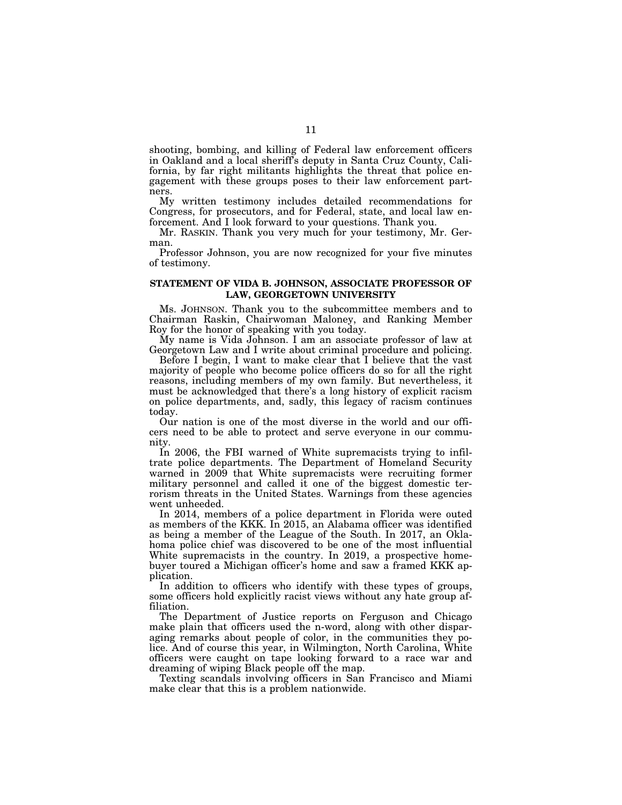shooting, bombing, and killing of Federal law enforcement officers in Oakland and a local sheriff's deputy in Santa Cruz County, California, by far right militants highlights the threat that police engagement with these groups poses to their law enforcement partners.

My written testimony includes detailed recommendations for Congress, for prosecutors, and for Federal, state, and local law enforcement. And I look forward to your questions. Thank you.

Mr. RASKIN. Thank you very much for your testimony, Mr. German.

Professor Johnson, you are now recognized for your five minutes of testimony.

#### **STATEMENT OF VIDA B. JOHNSON, ASSOCIATE PROFESSOR OF LAW, GEORGETOWN UNIVERSITY**

Ms. JOHNSON. Thank you to the subcommittee members and to Chairman Raskin, Chairwoman Maloney, and Ranking Member Roy for the honor of speaking with you today.

My name is Vida Johnson. I am an associate professor of law at Georgetown Law and I write about criminal procedure and policing.

Before I begin, I want to make clear that I believe that the vast majority of people who become police officers do so for all the right reasons, including members of my own family. But nevertheless, it must be acknowledged that there's a long history of explicit racism on police departments, and, sadly, this legacy of racism continues today.

Our nation is one of the most diverse in the world and our officers need to be able to protect and serve everyone in our community.

In 2006, the FBI warned of White supremacists trying to infiltrate police departments. The Department of Homeland Security warned in 2009 that White supremacists were recruiting former military personnel and called it one of the biggest domestic terrorism threats in the United States. Warnings from these agencies went unheeded.

In 2014, members of a police department in Florida were outed as members of the KKK. In 2015, an Alabama officer was identified as being a member of the League of the South. In 2017, an Oklahoma police chief was discovered to be one of the most influential White supremacists in the country. In 2019, a prospective homebuyer toured a Michigan officer's home and saw a framed KKK application.

In addition to officers who identify with these types of groups, some officers hold explicitly racist views without any hate group affiliation.

The Department of Justice reports on Ferguson and Chicago make plain that officers used the n-word, along with other disparaging remarks about people of color, in the communities they police. And of course this year, in Wilmington, North Carolina, White officers were caught on tape looking forward to a race war and dreaming of wiping Black people off the map.

Texting scandals involving officers in San Francisco and Miami make clear that this is a problem nationwide.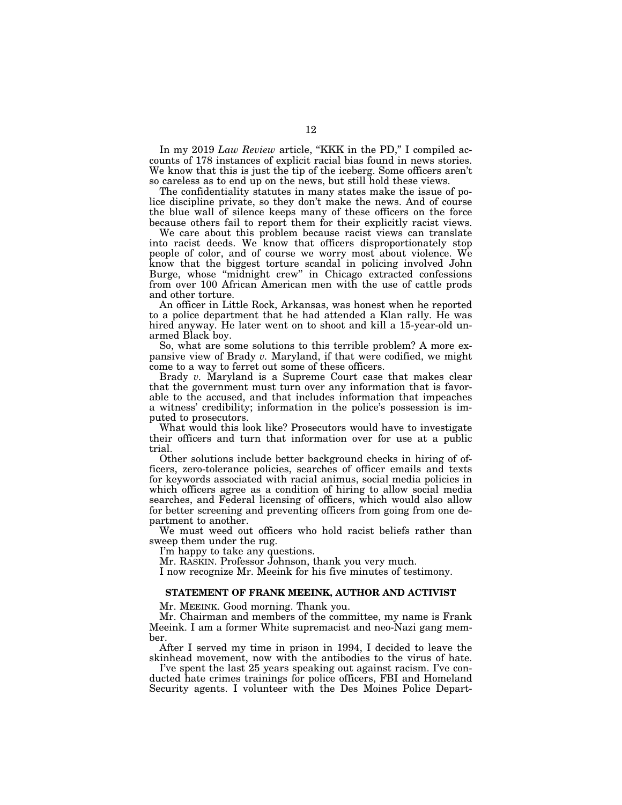In my 2019 *Law Review* article, "KKK in the PD," I compiled accounts of 178 instances of explicit racial bias found in news stories. We know that this is just the tip of the iceberg. Some officers aren't so careless as to end up on the news, but still hold these views.

The confidentiality statutes in many states make the issue of police discipline private, so they don't make the news. And of course the blue wall of silence keeps many of these officers on the force because others fail to report them for their explicitly racist views.

We care about this problem because racist views can translate into racist deeds. We know that officers disproportionately stop people of color, and of course we worry most about violence. We know that the biggest torture scandal in policing involved John Burge, whose ''midnight crew'' in Chicago extracted confessions from over 100 African American men with the use of cattle prods and other torture.

An officer in Little Rock, Arkansas, was honest when he reported to a police department that he had attended a Klan rally. He was hired anyway. He later went on to shoot and kill a 15-year-old unarmed Black boy.

So, what are some solutions to this terrible problem? A more expansive view of Brady *v.* Maryland, if that were codified, we might come to a way to ferret out some of these officers.

Brady *v.* Maryland is a Supreme Court case that makes clear that the government must turn over any information that is favorable to the accused, and that includes information that impeaches a witness' credibility; information in the police's possession is imputed to prosecutors.

What would this look like? Prosecutors would have to investigate their officers and turn that information over for use at a public trial.

Other solutions include better background checks in hiring of officers, zero-tolerance policies, searches of officer emails and texts for keywords associated with racial animus, social media policies in which officers agree as a condition of hiring to allow social media searches, and Federal licensing of officers, which would also allow for better screening and preventing officers from going from one department to another.

We must weed out officers who hold racist beliefs rather than sweep them under the rug.

I'm happy to take any questions.

Mr. RASKIN. Professor Johnson, thank you very much.

I now recognize Mr. Meeink for his five minutes of testimony.

#### **STATEMENT OF FRANK MEEINK, AUTHOR AND ACTIVIST**

Mr. MEEINK. Good morning. Thank you.

Mr. Chairman and members of the committee, my name is Frank Meeink. I am a former White supremacist and neo-Nazi gang member.

After I served my time in prison in 1994, I decided to leave the skinhead movement, now with the antibodies to the virus of hate.

I've spent the last 25 years speaking out against racism. I've conducted hate crimes trainings for police officers, FBI and Homeland Security agents. I volunteer with the Des Moines Police Depart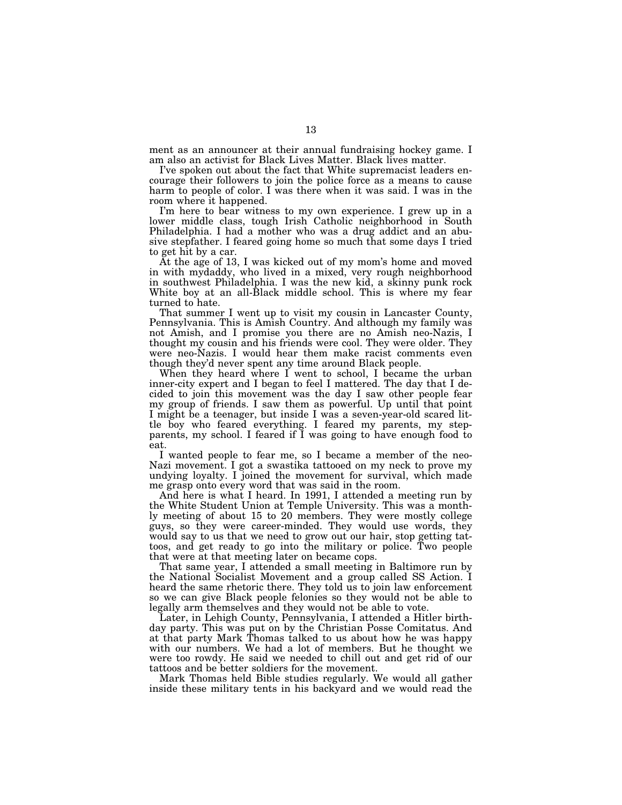ment as an announcer at their annual fundraising hockey game. I am also an activist for Black Lives Matter. Black lives matter.

I've spoken out about the fact that White supremacist leaders encourage their followers to join the police force as a means to cause harm to people of color. I was there when it was said. I was in the room where it happened.

I'm here to bear witness to my own experience. I grew up in a lower middle class, tough Irish Catholic neighborhood in South Philadelphia. I had a mother who was a drug addict and an abusive stepfather. I feared going home so much that some days I tried to get hit by a car.

At the age of 13, I was kicked out of my mom's home and moved in with mydaddy, who lived in a mixed, very rough neighborhood in southwest Philadelphia. I was the new kid, a skinny punk rock White boy at an all-Black middle school. This is where my fear turned to hate.

That summer I went up to visit my cousin in Lancaster County, Pennsylvania. This is Amish Country. And although my family was not Amish, and I promise you there are no Amish neo-Nazis, I thought my cousin and his friends were cool. They were older. They were neo-Nazis. I would hear them make racist comments even though they'd never spent any time around Black people.

When they heard where I went to school, I became the urban inner-city expert and I began to feel I mattered. The day that I decided to join this movement was the day I saw other people fear my group of friends. I saw them as powerful. Up until that point I might be a teenager, but inside I was a seven-year-old scared little boy who feared everything. I feared my parents, my stepparents, my school. I feared if I was going to have enough food to eat.

I wanted people to fear me, so I became a member of the neo-Nazi movement. I got a swastika tattooed on my neck to prove my undying loyalty. I joined the movement for survival, which made me grasp onto every word that was said in the room.

And here is what I heard. In 1991, I attended a meeting run by the White Student Union at Temple University. This was a monthly meeting of about 15 to 20 members. They were mostly college guys, so they were career-minded. They would use words, they would say to us that we need to grow out our hair, stop getting tattoos, and get ready to go into the military or police. Two people that were at that meeting later on became cops.

That same year, I attended a small meeting in Baltimore run by the National Socialist Movement and a group called SS Action. I heard the same rhetoric there. They told us to join law enforcement so we can give Black people felonies so they would not be able to legally arm themselves and they would not be able to vote.

Later, in Lehigh County, Pennsylvania, I attended a Hitler birthday party. This was put on by the Christian Posse Comitatus. And at that party Mark Thomas talked to us about how he was happy with our numbers. We had a lot of members. But he thought we were too rowdy. He said we needed to chill out and get rid of our tattoos and be better soldiers for the movement.

Mark Thomas held Bible studies regularly. We would all gather inside these military tents in his backyard and we would read the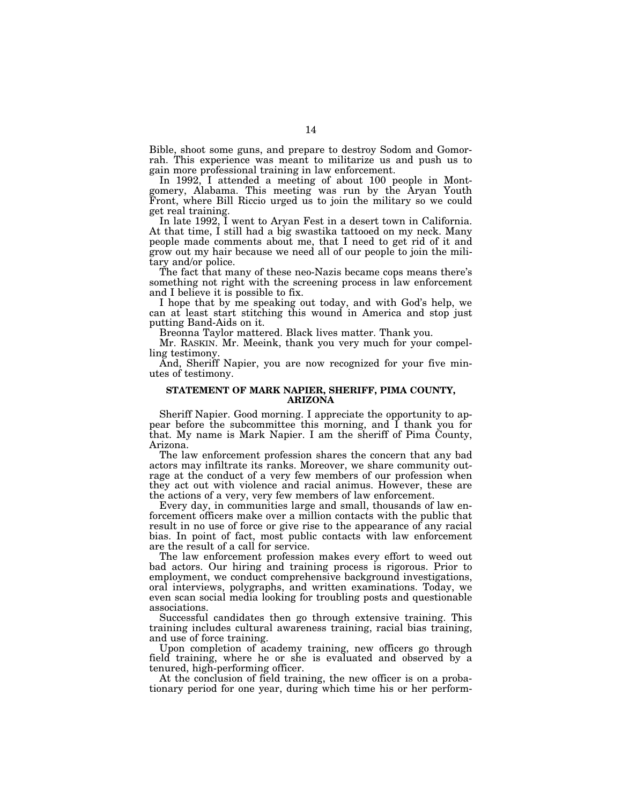Bible, shoot some guns, and prepare to destroy Sodom and Gomorrah. This experience was meant to militarize us and push us to gain more professional training in law enforcement.

In 1992, I attended a meeting of about 100 people in Montgomery, Alabama. This meeting was run by the Aryan Youth Front, where Bill Riccio urged us to join the military so we could get real training.

In late 1992, I went to Aryan Fest in a desert town in California. At that time, I still had a big swastika tattooed on my neck. Many people made comments about me, that I need to get rid of it and grow out my hair because we need all of our people to join the military and/or police.

The fact that many of these neo-Nazis became cops means there's something not right with the screening process in law enforcement and I believe it is possible to fix.

I hope that by me speaking out today, and with God's help, we can at least start stitching this wound in America and stop just putting Band-Aids on it.

Breonna Taylor mattered. Black lives matter. Thank you.

Mr. RASKIN. Mr. Meeink, thank you very much for your compelling testimony.

And, Sheriff Napier, you are now recognized for your five minutes of testimony.

#### **STATEMENT OF MARK NAPIER, SHERIFF, PIMA COUNTY, ARIZONA**

Sheriff Napier. Good morning. I appreciate the opportunity to appear before the subcommittee this morning, and I thank you for that. My name is Mark Napier. I am the sheriff of Pima County, Arizona.

The law enforcement profession shares the concern that any bad actors may infiltrate its ranks. Moreover, we share community outrage at the conduct of a very few members of our profession when they act out with violence and racial animus. However, these are the actions of a very, very few members of law enforcement.

Every day, in communities large and small, thousands of law enforcement officers make over a million contacts with the public that result in no use of force or give rise to the appearance of any racial bias. In point of fact, most public contacts with law enforcement are the result of a call for service.

The law enforcement profession makes every effort to weed out bad actors. Our hiring and training process is rigorous. Prior to employment, we conduct comprehensive background investigations, oral interviews, polygraphs, and written examinations. Today, we even scan social media looking for troubling posts and questionable associations.

Successful candidates then go through extensive training. This training includes cultural awareness training, racial bias training, and use of force training.

Upon completion of academy training, new officers go through field training, where he or she is evaluated and observed by a tenured, high-performing officer.

At the conclusion of field training, the new officer is on a probationary period for one year, during which time his or her perform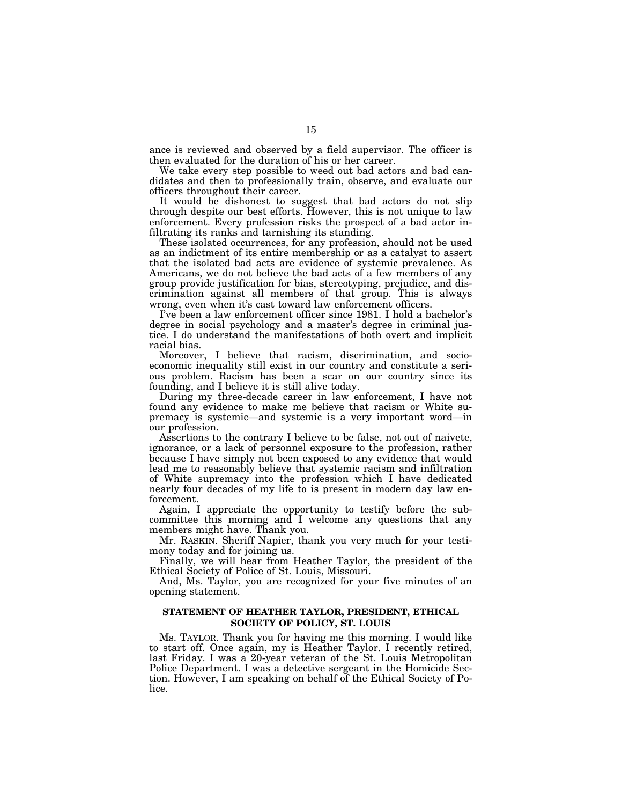ance is reviewed and observed by a field supervisor. The officer is then evaluated for the duration of his or her career.

We take every step possible to weed out bad actors and bad candidates and then to professionally train, observe, and evaluate our officers throughout their career.

It would be dishonest to suggest that bad actors do not slip through despite our best efforts. However, this is not unique to law enforcement. Every profession risks the prospect of a bad actor infiltrating its ranks and tarnishing its standing.

These isolated occurrences, for any profession, should not be used as an indictment of its entire membership or as a catalyst to assert that the isolated bad acts are evidence of systemic prevalence. As Americans, we do not believe the bad acts of a few members of any group provide justification for bias, stereotyping, prejudice, and discrimination against all members of that group. This is always wrong, even when it's cast toward law enforcement officers.

I've been a law enforcement officer since 1981. I hold a bachelor's degree in social psychology and a master's degree in criminal justice. I do understand the manifestations of both overt and implicit racial bias.

Moreover, I believe that racism, discrimination, and socioeconomic inequality still exist in our country and constitute a serious problem. Racism has been a scar on our country since its founding, and I believe it is still alive today.

During my three-decade career in law enforcement, I have not found any evidence to make me believe that racism or White supremacy is systemic—and systemic is a very important word—in our profession.

Assertions to the contrary I believe to be false, not out of naivete, ignorance, or a lack of personnel exposure to the profession, rather because I have simply not been exposed to any evidence that would lead me to reasonably believe that systemic racism and infiltration of White supremacy into the profession which I have dedicated nearly four decades of my life to is present in modern day law enforcement.

Again, I appreciate the opportunity to testify before the subcommittee this morning and I welcome any questions that any members might have. Thank you.

Mr. RASKIN. Sheriff Napier, thank you very much for your testimony today and for joining us.

Finally, we will hear from Heather Taylor, the president of the Ethical Society of Police of St. Louis, Missouri.

And, Ms. Taylor, you are recognized for your five minutes of an opening statement.

### **STATEMENT OF HEATHER TAYLOR, PRESIDENT, ETHICAL SOCIETY OF POLICY, ST. LOUIS**

Ms. TAYLOR. Thank you for having me this morning. I would like to start off. Once again, my is Heather Taylor. I recently retired, last Friday. I was a 20-year veteran of the St. Louis Metropolitan Police Department. I was a detective sergeant in the Homicide Section. However, I am speaking on behalf of the Ethical Society of Police.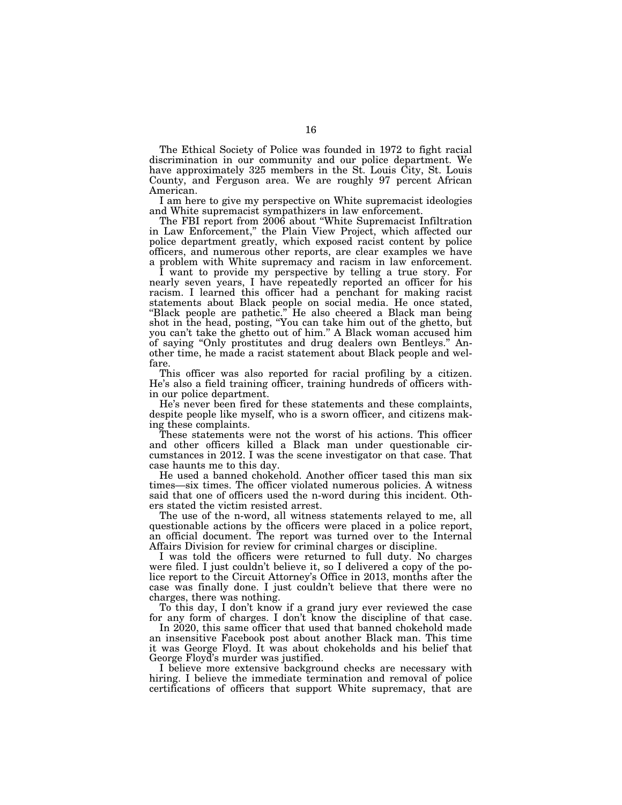The Ethical Society of Police was founded in 1972 to fight racial discrimination in our community and our police department. We have approximately 325 members in the St. Louis City, St. Louis County, and Ferguson area. We are roughly 97 percent African American.

I am here to give my perspective on White supremacist ideologies and White supremacist sympathizers in law enforcement.

The FBI report from 2006 about "White Supremacist Infiltration in Law Enforcement,'' the Plain View Project, which affected our police department greatly, which exposed racist content by police officers, and numerous other reports, are clear examples we have a problem with White supremacy and racism in law enforcement.

I want to provide my perspective by telling a true story. For nearly seven years, I have repeatedly reported an officer for his racism. I learned this officer had a penchant for making racist statements about Black people on social media. He once stated, "Black people are pathetic." He also cheered a Black man being shot in the head, posting, ''You can take him out of the ghetto, but you can't take the ghetto out of him.'' A Black woman accused him of saying ''Only prostitutes and drug dealers own Bentleys.'' Another time, he made a racist statement about Black people and welfare.

This officer was also reported for racial profiling by a citizen. He's also a field training officer, training hundreds of officers within our police department.

He's never been fired for these statements and these complaints, despite people like myself, who is a sworn officer, and citizens making these complaints.

These statements were not the worst of his actions. This officer and other officers killed a Black man under questionable circumstances in 2012. I was the scene investigator on that case. That case haunts me to this day.

He used a banned chokehold. Another officer tased this man six times—six times. The officer violated numerous policies. A witness said that one of officers used the n-word during this incident. Others stated the victim resisted arrest.

The use of the n-word, all witness statements relayed to me, all questionable actions by the officers were placed in a police report, an official document. The report was turned over to the Internal Affairs Division for review for criminal charges or discipline.

I was told the officers were returned to full duty. No charges were filed. I just couldn't believe it, so I delivered a copy of the police report to the Circuit Attorney's Office in 2013, months after the case was finally done. I just couldn't believe that there were no charges, there was nothing.

To this day, I don't know if a grand jury ever reviewed the case for any form of charges. I don't know the discipline of that case.

In 2020, this same officer that used that banned chokehold made an insensitive Facebook post about another Black man. This time it was George Floyd. It was about chokeholds and his belief that George Floyd's murder was justified.

I believe more extensive background checks are necessary with hiring. I believe the immediate termination and removal of police certifications of officers that support White supremacy, that are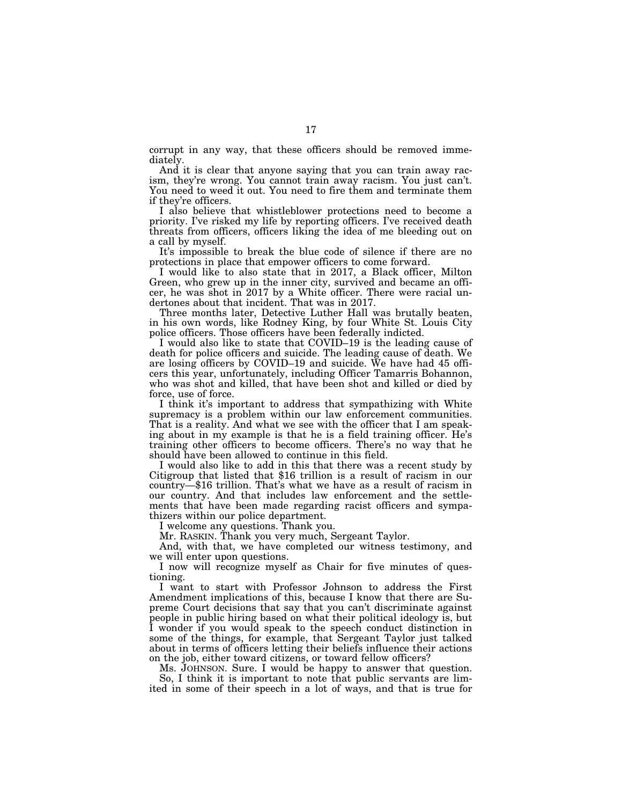corrupt in any way, that these officers should be removed immediately.

And it is clear that anyone saying that you can train away racism, they're wrong. You cannot train away racism. You just can't. You need to weed it out. You need to fire them and terminate them if they're officers.

I also believe that whistleblower protections need to become a priority. I've risked my life by reporting officers. I've received death threats from officers, officers liking the idea of me bleeding out on a call by myself.

It's impossible to break the blue code of silence if there are no protections in place that empower officers to come forward.

I would like to also state that in 2017, a Black officer, Milton Green, who grew up in the inner city, survived and became an officer, he was shot in 2017 by a White officer. There were racial undertones about that incident. That was in 2017.

Three months later, Detective Luther Hall was brutally beaten, in his own words, like Rodney King, by four White St. Louis City police officers. Those officers have been federally indicted.

I would also like to state that COVID–19 is the leading cause of death for police officers and suicide. The leading cause of death. We are losing officers by COVID–19 and suicide. We have had 45 officers this year, unfortunately, including Officer Tamarris Bohannon, who was shot and killed, that have been shot and killed or died by force, use of force.

I think it's important to address that sympathizing with White supremacy is a problem within our law enforcement communities. That is a reality. And what we see with the officer that I am speaking about in my example is that he is a field training officer. He's training other officers to become officers. There's no way that he should have been allowed to continue in this field.<br>I would also like to add in this that there was a recent study by

Citigroup that listed that \$16 trillion is a result of racism in our country—\$16 trillion. That's what we have as a result of racism in our country. And that includes law enforcement and the settlements that have been made regarding racist officers and sympathizers within our police department.

I welcome any questions. Thank you.

Mr. RASKIN. Thank you very much, Sergeant Taylor.

And, with that, we have completed our witness testimony, and we will enter upon questions.

I now will recognize myself as Chair for five minutes of questioning.

I want to start with Professor Johnson to address the First Amendment implications of this, because I know that there are Supreme Court decisions that say that you can't discriminate against people in public hiring based on what their political ideology is, but I wonder if you would speak to the speech conduct distinction in some of the things, for example, that Sergeant Taylor just talked about in terms of officers letting their beliefs influence their actions on the job, either toward citizens, or toward fellow officers?

Ms. JOHNSON. Sure. I would be happy to answer that question. So, I think it is important to note that public servants are limited in some of their speech in a lot of ways, and that is true for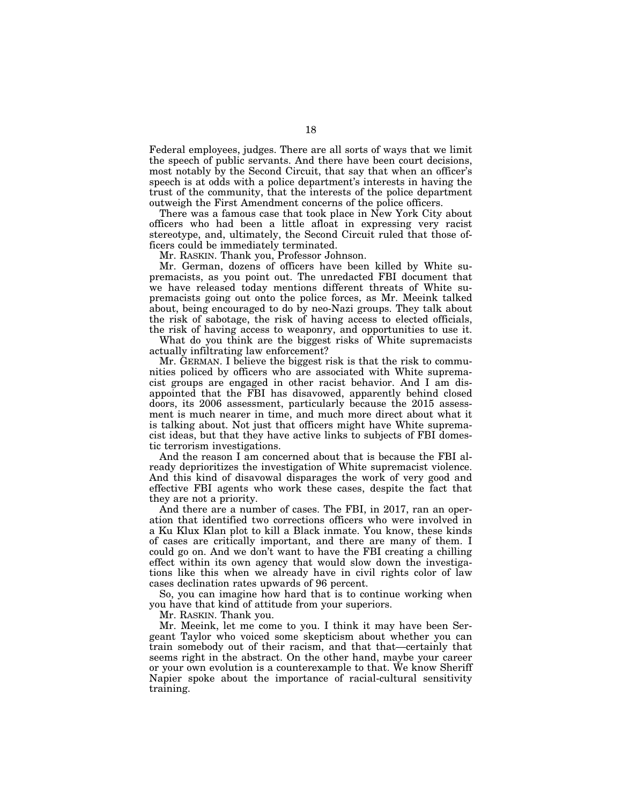Federal employees, judges. There are all sorts of ways that we limit the speech of public servants. And there have been court decisions, most notably by the Second Circuit, that say that when an officer's speech is at odds with a police department's interests in having the trust of the community, that the interests of the police department outweigh the First Amendment concerns of the police officers.

There was a famous case that took place in New York City about officers who had been a little afloat in expressing very racist stereotype, and, ultimately, the Second Circuit ruled that those officers could be immediately terminated.

Mr. RASKIN. Thank you, Professor Johnson.

Mr. German, dozens of officers have been killed by White supremacists, as you point out. The unredacted FBI document that we have released today mentions different threats of White supremacists going out onto the police forces, as Mr. Meeink talked about, being encouraged to do by neo-Nazi groups. They talk about the risk of sabotage, the risk of having access to elected officials, the risk of having access to weaponry, and opportunities to use it.

What do you think are the biggest risks of White supremacists actually infiltrating law enforcement?

Mr. GERMAN. I believe the biggest risk is that the risk to communities policed by officers who are associated with White supremacist groups are engaged in other racist behavior. And I am disappointed that the FBI has disavowed, apparently behind closed doors, its 2006 assessment, particularly because the 2015 assessment is much nearer in time, and much more direct about what it is talking about. Not just that officers might have White supremacist ideas, but that they have active links to subjects of FBI domestic terrorism investigations.

And the reason I am concerned about that is because the FBI already deprioritizes the investigation of White supremacist violence. And this kind of disavowal disparages the work of very good and effective FBI agents who work these cases, despite the fact that they are not a priority.

And there are a number of cases. The FBI, in 2017, ran an operation that identified two corrections officers who were involved in a Ku Klux Klan plot to kill a Black inmate. You know, these kinds of cases are critically important, and there are many of them. I could go on. And we don't want to have the FBI creating a chilling effect within its own agency that would slow down the investigations like this when we already have in civil rights color of law cases declination rates upwards of 96 percent.

So, you can imagine how hard that is to continue working when you have that kind of attitude from your superiors.

Mr. RASKIN. Thank you.

Mr. Meeink, let me come to you. I think it may have been Sergeant Taylor who voiced some skepticism about whether you can train somebody out of their racism, and that that—certainly that seems right in the abstract. On the other hand, maybe your career or your own evolution is a counterexample to that. We know Sheriff Napier spoke about the importance of racial-cultural sensitivity training.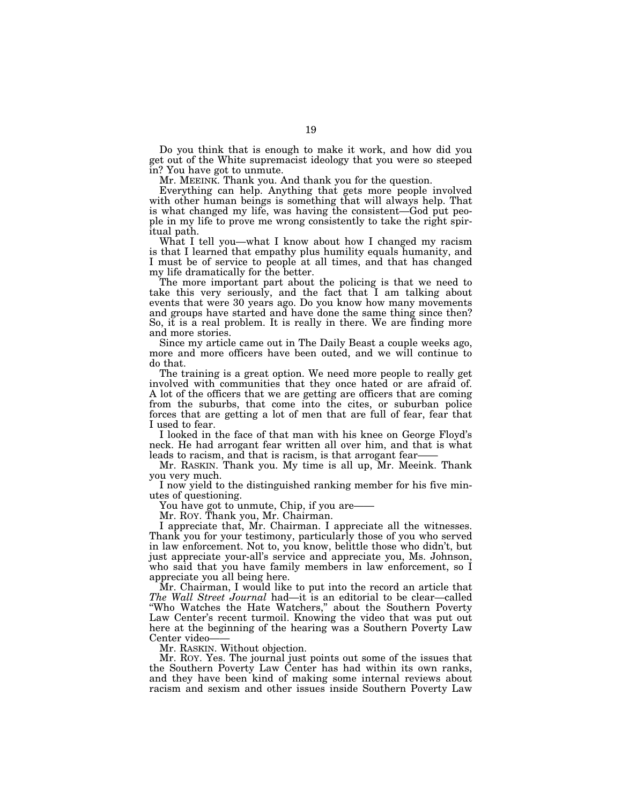Do you think that is enough to make it work, and how did you get out of the White supremacist ideology that you were so steeped in? You have got to unmute.

Mr. MEEINK. Thank you. And thank you for the question.

Everything can help. Anything that gets more people involved with other human beings is something that will always help. That is what changed my life, was having the consistent—God put people in my life to prove me wrong consistently to take the right spiritual path.

What I tell you—what I know about how I changed my racism is that I learned that empathy plus humility equals humanity, and I must be of service to people at all times, and that has changed my life dramatically for the better.

The more important part about the policing is that we need to take this very seriously, and the fact that I am talking about events that were 30 years ago. Do you know how many movements and groups have started and have done the same thing since then? So, it is a real problem. It is really in there. We are finding more and more stories.

Since my article came out in The Daily Beast a couple weeks ago, more and more officers have been outed, and we will continue to do that.

The training is a great option. We need more people to really get involved with communities that they once hated or are afraid of. A lot of the officers that we are getting are officers that are coming from the suburbs, that come into the cites, or suburban police forces that are getting a lot of men that are full of fear, fear that I used to fear.

I looked in the face of that man with his knee on George Floyd's neck. He had arrogant fear written all over him, and that is what leads to racism, and that is racism, is that arrogant fear-

Mr. RASKIN. Thank you. My time is all up, Mr. Meeink. Thank you very much.

I now yield to the distinguished ranking member for his five minutes of questioning.

You have got to unmute, Chip, if you are

Mr. ROY. Thank you, Mr. Chairman.

I appreciate that, Mr. Chairman. I appreciate all the witnesses. Thank you for your testimony, particularly those of you who served in law enforcement. Not to, you know, belittle those who didn't, but just appreciate your-all's service and appreciate you, Ms. Johnson, who said that you have family members in law enforcement, so I appreciate you all being here.

Mr. Chairman, I would like to put into the record an article that *The Wall Street Journal* had—it is an editorial to be clear—called "Who Watches the Hate Watchers," about the Southern Poverty Law Center's recent turmoil. Knowing the video that was put out here at the beginning of the hearing was a Southern Poverty Law Center video-

Mr. RASKIN. Without objection.

Mr. ROY. Yes. The journal just points out some of the issues that the Southern Poverty Law Center has had within its own ranks, and they have been kind of making some internal reviews about racism and sexism and other issues inside Southern Poverty Law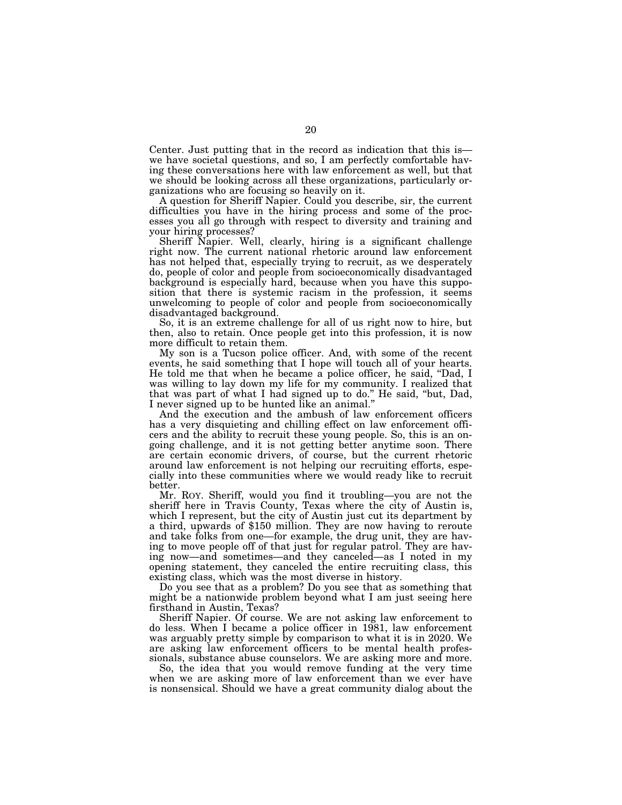Center. Just putting that in the record as indication that this is we have societal questions, and so, I am perfectly comfortable having these conversations here with law enforcement as well, but that we should be looking across all these organizations, particularly organizations who are focusing so heavily on it.

A question for Sheriff Napier. Could you describe, sir, the current difficulties you have in the hiring process and some of the processes you all go through with respect to diversity and training and your hiring processes?

Sheriff Napier. Well, clearly, hiring is a significant challenge right now. The current national rhetoric around law enforcement has not helped that, especially trying to recruit, as we desperately do, people of color and people from socioeconomically disadvantaged background is especially hard, because when you have this supposition that there is systemic racism in the profession, it seems unwelcoming to people of color and people from socioeconomically disadvantaged background.

So, it is an extreme challenge for all of us right now to hire, but then, also to retain. Once people get into this profession, it is now more difficult to retain them.

My son is a Tucson police officer. And, with some of the recent events, he said something that I hope will touch all of your hearts. He told me that when he became a police officer, he said, ''Dad, I was willing to lay down my life for my community. I realized that that was part of what I had signed up to do.'' He said, ''but, Dad, I never signed up to be hunted like an animal.''

And the execution and the ambush of law enforcement officers has a very disquieting and chilling effect on law enforcement officers and the ability to recruit these young people. So, this is an ongoing challenge, and it is not getting better anytime soon. There are certain economic drivers, of course, but the current rhetoric around law enforcement is not helping our recruiting efforts, especially into these communities where we would ready like to recruit better.

Mr. ROY. Sheriff, would you find it troubling—you are not the sheriff here in Travis County, Texas where the city of Austin is, which I represent, but the city of Austin just cut its department by a third, upwards of \$150 million. They are now having to reroute and take folks from one—for example, the drug unit, they are having to move people off of that just for regular patrol. They are having now—and sometimes—and they canceled—as I noted in my opening statement, they canceled the entire recruiting class, this existing class, which was the most diverse in history.

Do you see that as a problem? Do you see that as something that might be a nationwide problem beyond what I am just seeing here firsthand in Austin, Texas?

Sheriff Napier. Of course. We are not asking law enforcement to do less. When I became a police officer in 1981, law enforcement was arguably pretty simple by comparison to what it is in 2020. We are asking law enforcement officers to be mental health professionals, substance abuse counselors. We are asking more and more.

So, the idea that you would remove funding at the very time when we are asking more of law enforcement than we ever have is nonsensical. Should we have a great community dialog about the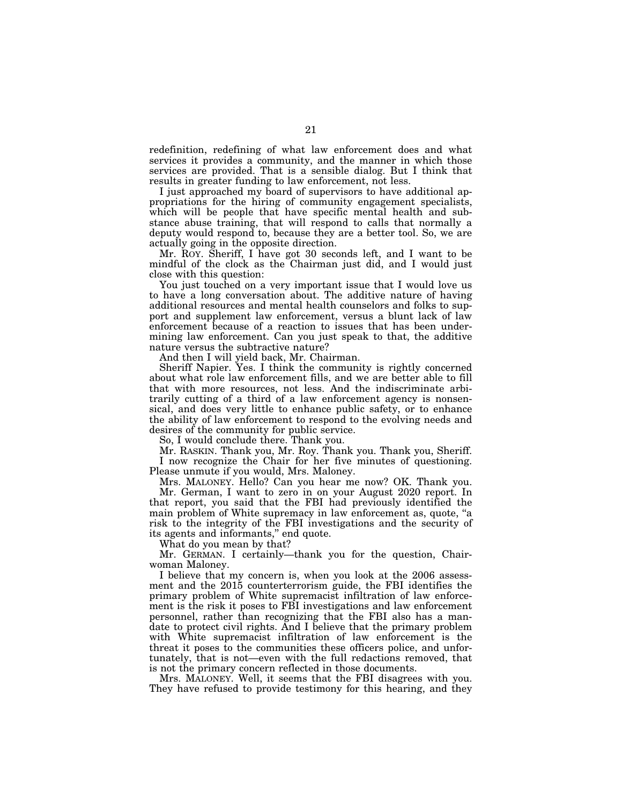redefinition, redefining of what law enforcement does and what services it provides a community, and the manner in which those services are provided. That is a sensible dialog. But I think that results in greater funding to law enforcement, not less.

I just approached my board of supervisors to have additional appropriations for the hiring of community engagement specialists, which will be people that have specific mental health and substance abuse training, that will respond to calls that normally a deputy would respond to, because they are a better tool. So, we are actually going in the opposite direction.

Mr. ROY. Sheriff, I have got 30 seconds left, and I want to be mindful of the clock as the Chairman just did, and I would just close with this question:

You just touched on a very important issue that I would love us to have a long conversation about. The additive nature of having additional resources and mental health counselors and folks to support and supplement law enforcement, versus a blunt lack of law enforcement because of a reaction to issues that has been undermining law enforcement. Can you just speak to that, the additive nature versus the subtractive nature?

And then I will yield back, Mr. Chairman.

Sheriff Napier. Yes. I think the community is rightly concerned about what role law enforcement fills, and we are better able to fill that with more resources, not less. And the indiscriminate arbitrarily cutting of a third of a law enforcement agency is nonsensical, and does very little to enhance public safety, or to enhance the ability of law enforcement to respond to the evolving needs and desires of the community for public service.

So, I would conclude there. Thank you.

Mr. RASKIN. Thank you, Mr. Roy. Thank you. Thank you, Sheriff. I now recognize the Chair for her five minutes of questioning. Please unmute if you would, Mrs. Maloney.

Mrs. MALONEY. Hello? Can you hear me now? OK. Thank you. Mr. German, I want to zero in on your August 2020 report. In that report, you said that the FBI had previously identified the main problem of White supremacy in law enforcement as, quote, ''a risk to the integrity of the FBI investigations and the security of its agents and informants,'' end quote.

What do you mean by that?

Mr. GERMAN. I certainly—thank you for the question, Chairwoman Maloney.

I believe that my concern is, when you look at the 2006 assessment and the 2015 counterterrorism guide, the FBI identifies the primary problem of White supremacist infiltration of law enforcement is the risk it poses to FBI investigations and law enforcement personnel, rather than recognizing that the FBI also has a mandate to protect civil rights. And I believe that the primary problem with White supremacist infiltration of law enforcement is the threat it poses to the communities these officers police, and unfortunately, that is not—even with the full redactions removed, that is not the primary concern reflected in those documents.

Mrs. MALONEY. Well, it seems that the FBI disagrees with you. They have refused to provide testimony for this hearing, and they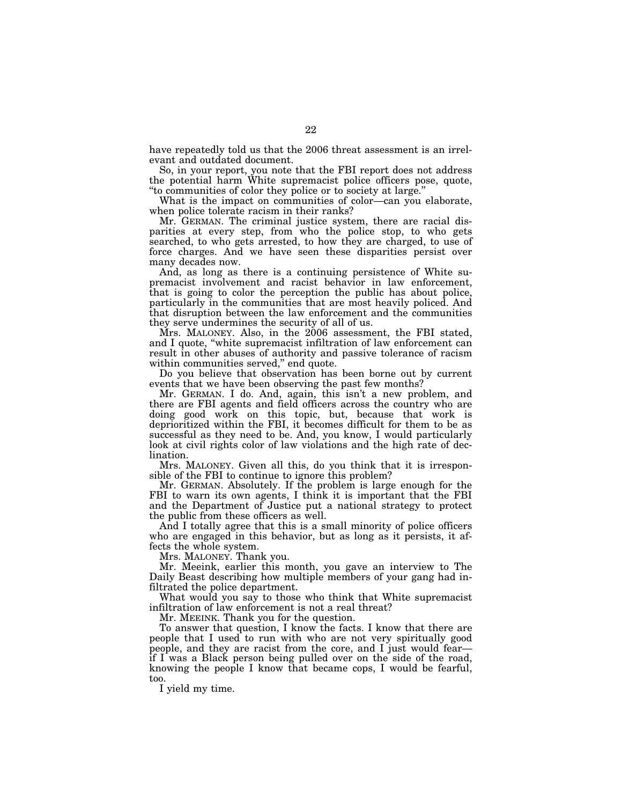have repeatedly told us that the 2006 threat assessment is an irrelevant and outdated document.

So, in your report, you note that the FBI report does not address the potential harm White supremacist police officers pose, quote, ''to communities of color they police or to society at large.''

What is the impact on communities of color—can you elaborate, when police tolerate racism in their ranks?

Mr. GERMAN. The criminal justice system, there are racial disparities at every step, from who the police stop, to who gets searched, to who gets arrested, to how they are charged, to use of force charges. And we have seen these disparities persist over many decades now.

And, as long as there is a continuing persistence of White supremacist involvement and racist behavior in law enforcement, that is going to color the perception the public has about police, particularly in the communities that are most heavily policed. And that disruption between the law enforcement and the communities they serve undermines the security of all of us.

Mrs. MALONEY. Also, in the 2006 assessment, the FBI stated, and I quote, ''white supremacist infiltration of law enforcement can result in other abuses of authority and passive tolerance of racism within communities served," end quote.

Do you believe that observation has been borne out by current events that we have been observing the past few months?

Mr. GERMAN. I do. And, again, this isn't a new problem, and there are FBI agents and field officers across the country who are doing good work on this topic, but, because that work is deprioritized within the FBI, it becomes difficult for them to be as successful as they need to be. And, you know, I would particularly look at civil rights color of law violations and the high rate of declination.

Mrs. MALONEY. Given all this, do you think that it is irresponsible of the FBI to continue to ignore this problem?

Mr. GERMAN. Absolutely. If the problem is large enough for the FBI to warn its own agents, I think it is important that the FBI and the Department of Justice put a national strategy to protect the public from these officers as well.

And I totally agree that this is a small minority of police officers who are engaged in this behavior, but as long as it persists, it affects the whole system.

Mrs. MALONEY. Thank you.

Mr. Meeink, earlier this month, you gave an interview to The Daily Beast describing how multiple members of your gang had infiltrated the police department.

What would you say to those who think that White supremacist infiltration of law enforcement is not a real threat?

Mr. MEEINK. Thank you for the question.

To answer that question, I know the facts. I know that there are people that I used to run with who are not very spiritually good people, and they are racist from the core, and I just would fear if I was a Black person being pulled over on the side of the road, knowing the people I know that became cops, I would be fearful, too.

I yield my time.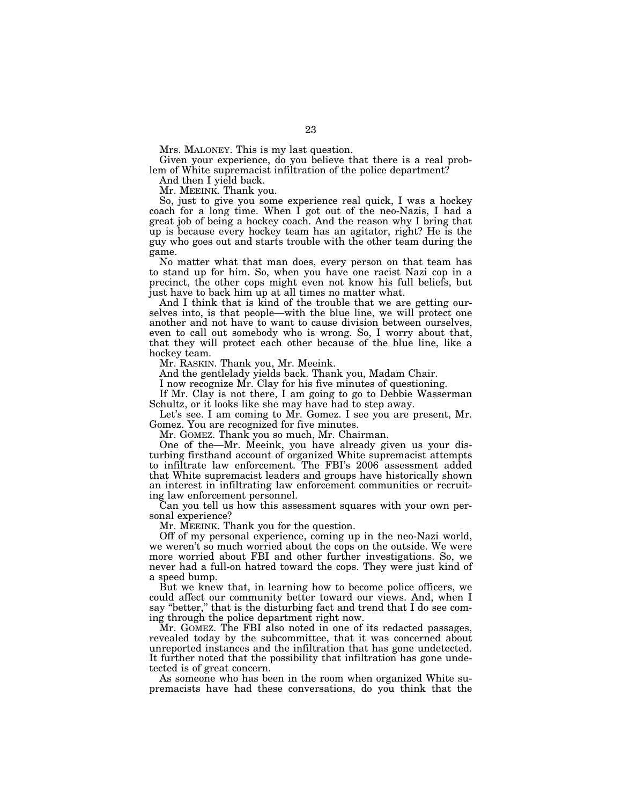Mrs. MALONEY. This is my last question.

Given your experience, do you believe that there is a real problem of White supremacist infiltration of the police department?

And then I yield back.

Mr. MEEINK. Thank you.

So, just to give you some experience real quick, I was a hockey coach for a long time. When I got out of the neo-Nazis, I had a great job of being a hockey coach. And the reason why I bring that up is because every hockey team has an agitator, right? He is the guy who goes out and starts trouble with the other team during the game.

No matter what that man does, every person on that team has to stand up for him. So, when you have one racist Nazi cop in a precinct, the other cops might even not know his full beliefs, but just have to back him up at all times no matter what.

And I think that is kind of the trouble that we are getting ourselves into, is that people—with the blue line, we will protect one another and not have to want to cause division between ourselves, even to call out somebody who is wrong. So, I worry about that, that they will protect each other because of the blue line, like a hockey team.

Mr. RASKIN. Thank you, Mr. Meeink.

And the gentlelady yields back. Thank you, Madam Chair.

I now recognize Mr. Clay for his five minutes of questioning.

If Mr. Clay is not there, I am going to go to Debbie Wasserman Schultz, or it looks like she may have had to step away.

Let's see. I am coming to Mr. Gomez. I see you are present, Mr. Gomez. You are recognized for five minutes.

Mr. GOMEZ. Thank you so much, Mr. Chairman.

One of the—Mr. Meeink, you have already given us your disturbing firsthand account of organized White supremacist attempts to infiltrate law enforcement. The FBI's 2006 assessment added that White supremacist leaders and groups have historically shown an interest in infiltrating law enforcement communities or recruiting law enforcement personnel.

Can you tell us how this assessment squares with your own personal experience?

Mr. MEEINK. Thank you for the question.

Off of my personal experience, coming up in the neo-Nazi world, we weren't so much worried about the cops on the outside. We were more worried about FBI and other further investigations. So, we never had a full-on hatred toward the cops. They were just kind of a speed bump.

But we knew that, in learning how to become police officers, we could affect our community better toward our views. And, when I say ''better,'' that is the disturbing fact and trend that I do see coming through the police department right now.

Mr. GOMEZ. The FBI also noted in one of its redacted passages, revealed today by the subcommittee, that it was concerned about unreported instances and the infiltration that has gone undetected. It further noted that the possibility that infiltration has gone undetected is of great concern.

As someone who has been in the room when organized White supremacists have had these conversations, do you think that the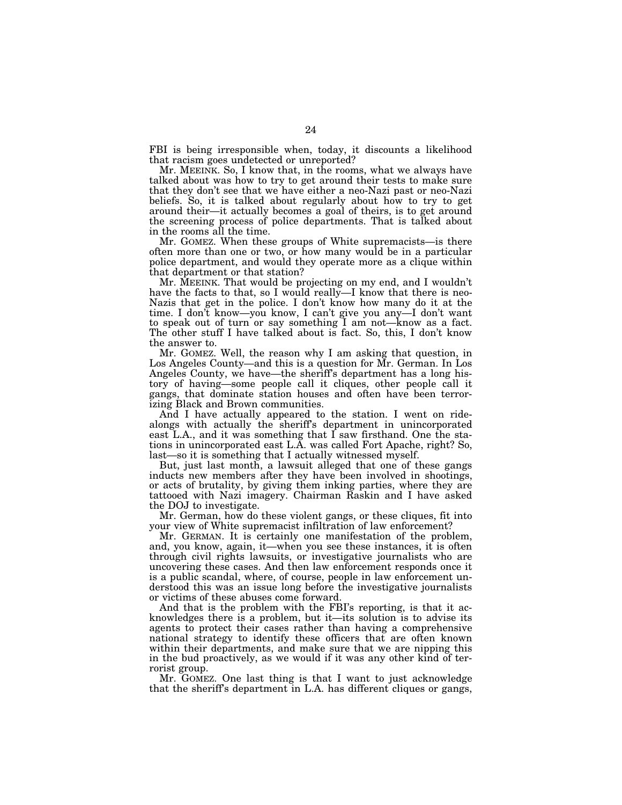FBI is being irresponsible when, today, it discounts a likelihood that racism goes undetected or unreported?

Mr. MEEINK. So, I know that, in the rooms, what we always have talked about was how to try to get around their tests to make sure that they don't see that we have either a neo-Nazi past or neo-Nazi beliefs. So, it is talked about regularly about how to try to get around their—it actually becomes a goal of theirs, is to get around the screening process of police departments. That is talked about in the rooms all the time.

Mr. GOMEZ. When these groups of White supremacists—is there often more than one or two, or how many would be in a particular police department, and would they operate more as a clique within that department or that station?

Mr. MEEINK. That would be projecting on my end, and I wouldn't have the facts to that, so I would really—I know that there is neo-Nazis that get in the police. I don't know how many do it at the time. I don't know—you know, I can't give you any—I don't want to speak out of turn or say something I am not—know as a fact. The other stuff I have talked about is fact. So, this, I don't know the answer to.

Mr. GOMEZ. Well, the reason why I am asking that question, in Los Angeles County—and this is a question for Mr. German. In Los Angeles County, we have—the sheriff's department has a long history of having—some people call it cliques, other people call it gangs, that dominate station houses and often have been terrorizing Black and Brown communities.

And I have actually appeared to the station. I went on ridealongs with actually the sheriff's department in unincorporated east L.A., and it was something that  $\overline{I}$  saw firsthand. One the stations in unincorporated east L.A. was called Fort Apache, right? So, last—so it is something that I actually witnessed myself.

But, just last month, a lawsuit alleged that one of these gangs inducts new members after they have been involved in shootings, or acts of brutality, by giving them inking parties, where they are tattooed with Nazi imagery. Chairman Raskin and I have asked the DOJ to investigate.

Mr. German, how do these violent gangs, or these cliques, fit into your view of White supremacist infiltration of law enforcement?

Mr. GERMAN. It is certainly one manifestation of the problem, and, you know, again, it—when you see these instances, it is often through civil rights lawsuits, or investigative journalists who are uncovering these cases. And then law enforcement responds once it is a public scandal, where, of course, people in law enforcement understood this was an issue long before the investigative journalists or victims of these abuses come forward.

And that is the problem with the FBI's reporting, is that it acknowledges there is a problem, but it—its solution is to advise its agents to protect their cases rather than having a comprehensive national strategy to identify these officers that are often known within their departments, and make sure that we are nipping this in the bud proactively, as we would if it was any other kind of terrorist group.

Mr. GOMEZ. One last thing is that I want to just acknowledge that the sheriff's department in L.A. has different cliques or gangs,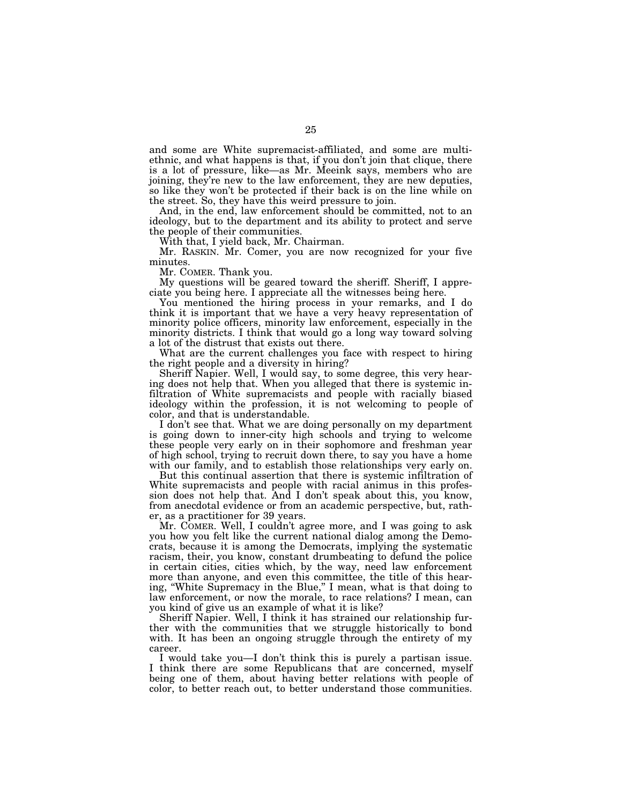and some are White supremacist-affiliated, and some are multiethnic, and what happens is that, if you don't join that clique, there is a lot of pressure, like—as Mr. Meeink says, members who are joining, they're new to the law enforcement, they are new deputies, so like they won't be protected if their back is on the line while on the street. So, they have this weird pressure to join.

And, in the end, law enforcement should be committed, not to an ideology, but to the department and its ability to protect and serve the people of their communities.

With that, I yield back, Mr. Chairman.

Mr. RASKIN. Mr. Comer, you are now recognized for your five minutes.

Mr. COMER. Thank you.

My questions will be geared toward the sheriff. Sheriff, I appreciate you being here. I appreciate all the witnesses being here.

You mentioned the hiring process in your remarks, and I do think it is important that we have a very heavy representation of minority police officers, minority law enforcement, especially in the minority districts. I think that would go a long way toward solving a lot of the distrust that exists out there.

What are the current challenges you face with respect to hiring the right people and a diversity in hiring?

Sheriff Napier. Well, I would say, to some degree, this very hearing does not help that. When you alleged that there is systemic infiltration of White supremacists and people with racially biased ideology within the profession, it is not welcoming to people of color, and that is understandable.

I don't see that. What we are doing personally on my department is going down to inner-city high schools and trying to welcome these people very early on in their sophomore and freshman year of high school, trying to recruit down there, to say you have a home with our family, and to establish those relationships very early on.

But this continual assertion that there is systemic infiltration of White supremacists and people with racial animus in this profession does not help that. And I don't speak about this, you know, from anecdotal evidence or from an academic perspective, but, rather, as a practitioner for 39 years.

Mr. COMER. Well, I couldn't agree more, and I was going to ask you how you felt like the current national dialog among the Democrats, because it is among the Democrats, implying the systematic racism, their, you know, constant drumbeating to defund the police in certain cities, cities which, by the way, need law enforcement more than anyone, and even this committee, the title of this hearing, ''White Supremacy in the Blue,'' I mean, what is that doing to law enforcement, or now the morale, to race relations? I mean, can you kind of give us an example of what it is like?

Sheriff Napier. Well, I think it has strained our relationship further with the communities that we struggle historically to bond with. It has been an ongoing struggle through the entirety of my career.

I would take you—I don't think this is purely a partisan issue. I think there are some Republicans that are concerned, myself being one of them, about having better relations with people of color, to better reach out, to better understand those communities.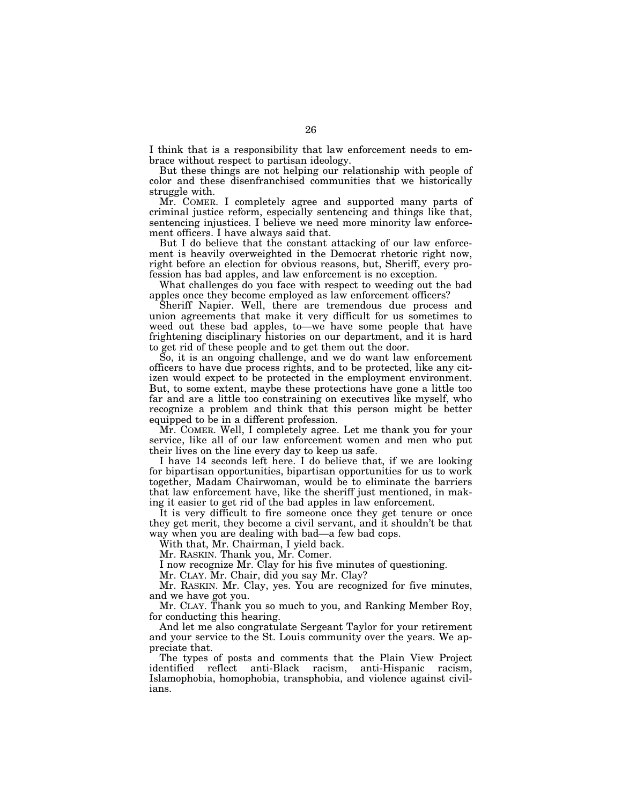I think that is a responsibility that law enforcement needs to embrace without respect to partisan ideology.

But these things are not helping our relationship with people of color and these disenfranchised communities that we historically struggle with.

Mr. COMER. I completely agree and supported many parts of criminal justice reform, especially sentencing and things like that, sentencing injustices. I believe we need more minority law enforcement officers. I have always said that.

But I do believe that the constant attacking of our law enforcement is heavily overweighted in the Democrat rhetoric right now, right before an election for obvious reasons, but, Sheriff, every profession has bad apples, and law enforcement is no exception.

What challenges do you face with respect to weeding out the bad apples once they become employed as law enforcement officers?

Sheriff Napier. Well, there are tremendous due process and union agreements that make it very difficult for us sometimes to weed out these bad apples, to—we have some people that have frightening disciplinary histories on our department, and it is hard to get rid of these people and to get them out the door.

So, it is an ongoing challenge, and we do want law enforcement officers to have due process rights, and to be protected, like any citizen would expect to be protected in the employment environment. But, to some extent, maybe these protections have gone a little too far and are a little too constraining on executives like myself, who recognize a problem and think that this person might be better equipped to be in a different profession.

Mr. COMER. Well, I completely agree. Let me thank you for your service, like all of our law enforcement women and men who put their lives on the line every day to keep us safe.

I have 14 seconds left here. I do believe that, if we are looking for bipartisan opportunities, bipartisan opportunities for us to work together, Madam Chairwoman, would be to eliminate the barriers that law enforcement have, like the sheriff just mentioned, in making it easier to get rid of the bad apples in law enforcement.

It is very difficult to fire someone once they get tenure or once they get merit, they become a civil servant, and it shouldn't be that way when you are dealing with bad—a few bad cops.

With that, Mr. Chairman, I yield back.

Mr. RASKIN. Thank you, Mr. Comer.

I now recognize Mr. Clay for his five minutes of questioning.

Mr. CLAY. Mr. Chair, did you say Mr. Clay?

Mr. RASKIN. Mr. Clay, yes. You are recognized for five minutes, and we have got you.

Mr. CLAY. Thank you so much to you, and Ranking Member Roy, for conducting this hearing.

And let me also congratulate Sergeant Taylor for your retirement and your service to the St. Louis community over the years. We appreciate that.

The types of posts and comments that the Plain View Project identified reflect anti-Black racism, anti-Hispanic racism, Islamophobia, homophobia, transphobia, and violence against civilians.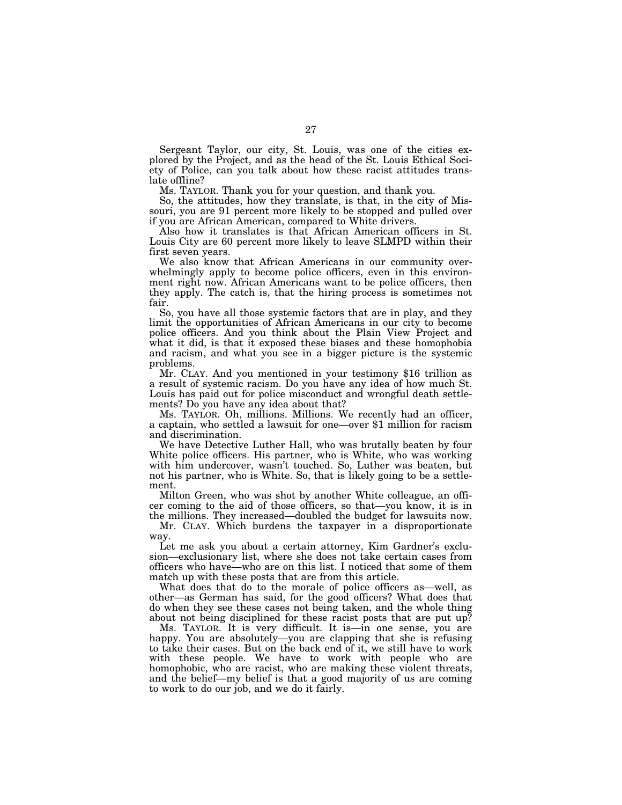Sergeant Taylor, our city, St. Louis, was one of the cities explored by the Project, and as the head of the St. Louis Ethical Society of Police, can you talk about how these racist attitudes translate offline?

Ms. TAYLOR. Thank you for your question, and thank you.

So, the attitudes, how they translate, is that, in the city of Missouri, you are 91 percent more likely to be stopped and pulled over if you are African American, compared to White drivers.

Also how it translates is that African American officers in St. Louis City are 60 percent more likely to leave SLMPD within their first seven years.

We also know that African Americans in our community overwhelmingly apply to become police officers, even in this environment right now. African Americans want to be police officers, then they apply. The catch is, that the hiring process is sometimes not fair.

So, you have all those systemic factors that are in play, and they limit the opportunities of African Americans in our city to become police officers. And you think about the Plain View Project and what it did, is that it exposed these biases and these homophobia and racism, and what you see in a bigger picture is the systemic problems.

Mr. CLAY. And you mentioned in your testimony \$16 trillion as a result of systemic racism. Do you have any idea of how much St. Louis has paid out for police misconduct and wrongful death settle-

ments? Do you have any idea about that?<br>Ms. TAYLOR. Oh, millions. Millions. We recently had an officer, a captain, who settled a lawsuit for one—over \$1 million for racism and discrimination.

We have Detective Luther Hall, who was brutally beaten by four White police officers. His partner, who is White, who was working with him undercover, wasn't touched. So, Luther was beaten, but not his partner, who is White. So, that is likely going to be a settlement.

Milton Green, who was shot by another White colleague, an officer coming to the aid of those officers, so that—you know, it is in the millions. They increased—doubled the budget for lawsuits now.

Mr. CLAY. Which burdens the taxpayer in a disproportionate way.

Let me ask you about a certain attorney, Kim Gardner's exclusion—exclusionary list, where she does not take certain cases from officers who have—who are on this list. I noticed that some of them match up with these posts that are from this article.

What does that do to the morale of police officers as—well, as other—as German has said, for the good officers? What does that do when they see these cases not being taken, and the whole thing about not being disciplined for these racist posts that are put up?

Ms. TAYLOR. It is very difficult. It is—in one sense, you are happy. You are absolutely—you are clapping that she is refusing to take their cases. But on the back end of it, we still have to work with these people. We have to work with people who are homophobic, who are racist, who are making these violent threats, and the belief—my belief is that a good majority of us are coming to work to do our job, and we do it fairly.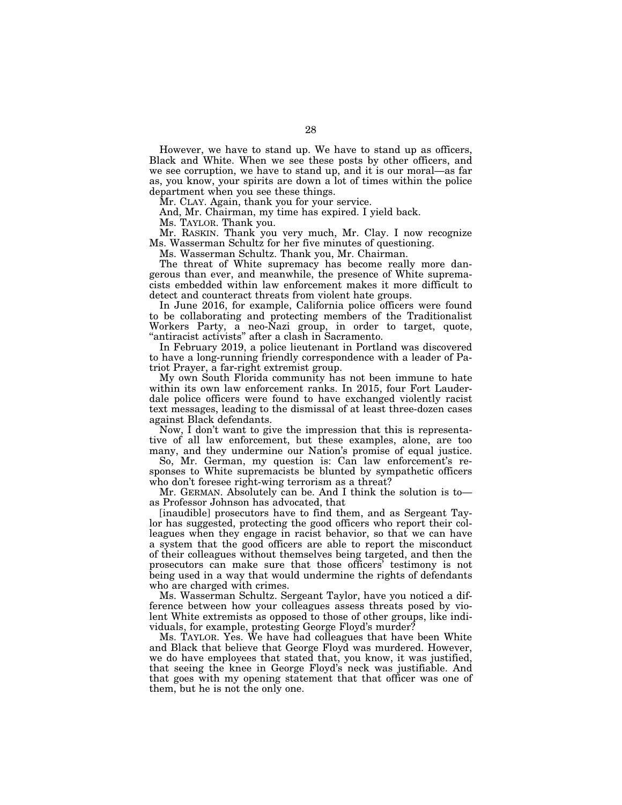However, we have to stand up. We have to stand up as officers, Black and White. When we see these posts by other officers, and we see corruption, we have to stand up, and it is our moral—as far as, you know, your spirits are down a lot of times within the police department when you see these things.

Mr. CLAY. Again, thank you for your service.

And, Mr. Chairman, my time has expired. I yield back.

Ms. TAYLOR. Thank you.

Mr. RASKIN. Thank you very much, Mr. Clay. I now recognize Ms. Wasserman Schultz for her five minutes of questioning.

Ms. Wasserman Schultz. Thank you, Mr. Chairman.

The threat of White supremacy has become really more dangerous than ever, and meanwhile, the presence of White supremacists embedded within law enforcement makes it more difficult to detect and counteract threats from violent hate groups.

In June 2016, for example, California police officers were found to be collaborating and protecting members of the Traditionalist Workers Party, a neo-Nazi group, in order to target, quote, ''antiracist activists'' after a clash in Sacramento.

In February 2019, a police lieutenant in Portland was discovered to have a long-running friendly correspondence with a leader of Patriot Prayer, a far-right extremist group.

My own South Florida community has not been immune to hate within its own law enforcement ranks. In 2015, four Fort Lauderdale police officers were found to have exchanged violently racist text messages, leading to the dismissal of at least three-dozen cases against Black defendants.

Now, I don't want to give the impression that this is representative of all law enforcement, but these examples, alone, are too many, and they undermine our Nation's promise of equal justice.

So, Mr. German, my question is: Can law enforcement's responses to White supremacists be blunted by sympathetic officers who don't foresee right-wing terrorism as a threat?

Mr. GERMAN. Absolutely can be. And I think the solution is to as Professor Johnson has advocated, that

[inaudible] prosecutors have to find them, and as Sergeant Taylor has suggested, protecting the good officers who report their colleagues when they engage in racist behavior, so that we can have a system that the good officers are able to report the misconduct of their colleagues without themselves being targeted, and then the prosecutors can make sure that those officers' testimony is not being used in a way that would undermine the rights of defendants who are charged with crimes.

Ms. Wasserman Schultz. Sergeant Taylor, have you noticed a difference between how your colleagues assess threats posed by violent White extremists as opposed to those of other groups, like individuals, for example, protesting George Floyd's murder?

Ms. TAYLOR. Yes. We have had colleagues that have been White and Black that believe that George Floyd was murdered. However, we do have employees that stated that, you know, it was justified, that seeing the knee in George Floyd's neck was justifiable. And that goes with my opening statement that that officer was one of them, but he is not the only one.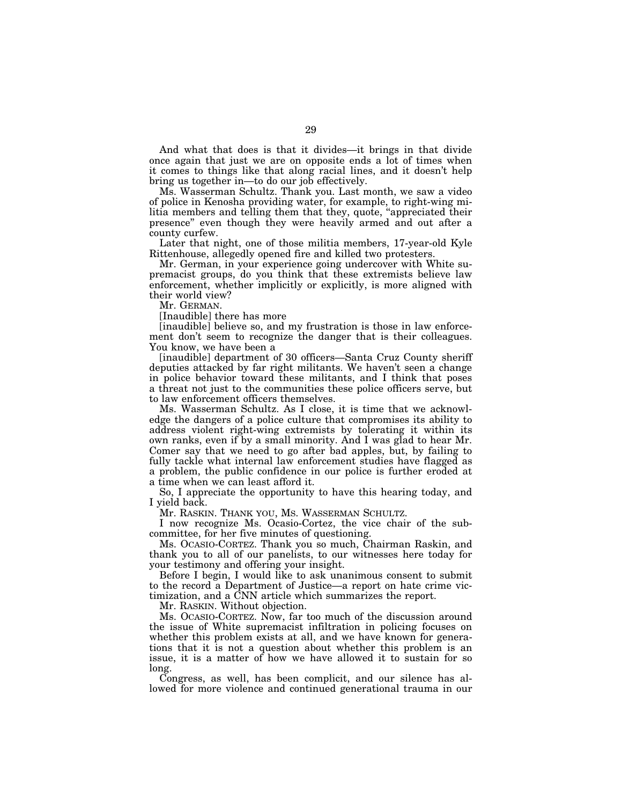And what that does is that it divides—it brings in that divide once again that just we are on opposite ends a lot of times when it comes to things like that along racial lines, and it doesn't help bring us together in—to do our job effectively.

Ms. Wasserman Schultz. Thank you. Last month, we saw a video of police in Kenosha providing water, for example, to right-wing militia members and telling them that they, quote, "appreciated their presence'' even though they were heavily armed and out after a county curfew.

Later that night, one of those militia members, 17-year-old Kyle Rittenhouse, allegedly opened fire and killed two protesters.

Mr. German, in your experience going undercover with White supremacist groups, do you think that these extremists believe law enforcement, whether implicitly or explicitly, is more aligned with their world view?

Mr. GERMAN.

[Inaudible] there has more

[inaudible] believe so, and my frustration is those in law enforcement don't seem to recognize the danger that is their colleagues. You know, we have been a

[inaudible] department of 30 officers—Santa Cruz County sheriff deputies attacked by far right militants. We haven't seen a change in police behavior toward these militants, and I think that poses a threat not just to the communities these police officers serve, but to law enforcement officers themselves.

Ms. Wasserman Schultz. As I close, it is time that we acknowledge the dangers of a police culture that compromises its ability to address violent right-wing extremists by tolerating it within its own ranks, even if by a small minority. And I was glad to hear Mr. Comer say that we need to go after bad apples, but, by failing to fully tackle what internal law enforcement studies have flagged as a problem, the public confidence in our police is further eroded at a time when we can least afford it.

So, I appreciate the opportunity to have this hearing today, and I yield back.

Mr. RASKIN. THANK YOU, MS. WASSERMAN SCHULTZ.

I now recognize Ms. Ocasio-Cortez, the vice chair of the subcommittee, for her five minutes of questioning.

Ms. OCASIO-CORTEZ. Thank you so much, Chairman Raskin, and thank you to all of our panelists, to our witnesses here today for your testimony and offering your insight.

Before I begin, I would like to ask unanimous consent to submit to the record a Department of Justice—a report on hate crime victimization, and a CNN article which summarizes the report.

Mr. RASKIN. Without objection.

Ms. OCASIO-CORTEZ. Now, far too much of the discussion around the issue of White supremacist infiltration in policing focuses on whether this problem exists at all, and we have known for generations that it is not a question about whether this problem is an issue, it is a matter of how we have allowed it to sustain for so long.

Congress, as well, has been complicit, and our silence has allowed for more violence and continued generational trauma in our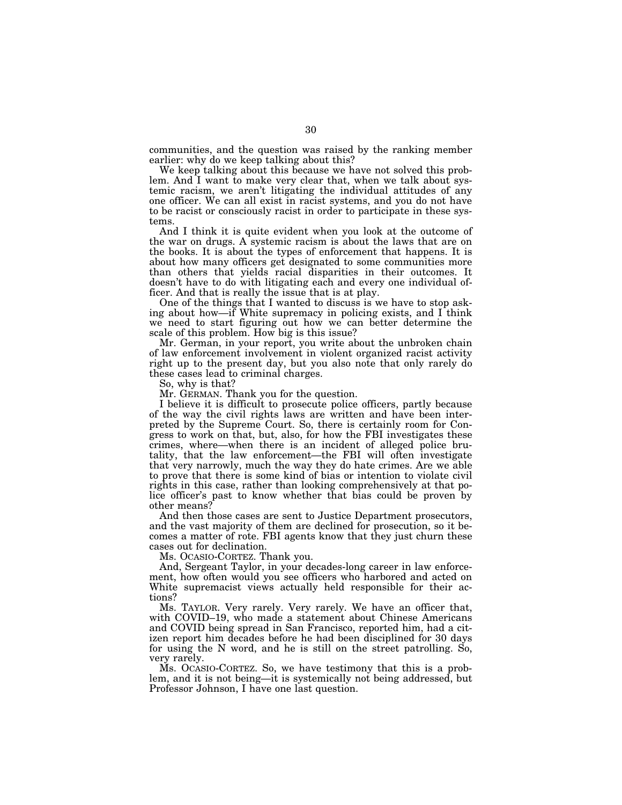communities, and the question was raised by the ranking member earlier: why do we keep talking about this?

We keep talking about this because we have not solved this problem. And I want to make very clear that, when we talk about systemic racism, we aren't litigating the individual attitudes of any one officer. We can all exist in racist systems, and you do not have to be racist or consciously racist in order to participate in these systems.

And I think it is quite evident when you look at the outcome of the war on drugs. A systemic racism is about the laws that are on the books. It is about the types of enforcement that happens. It is about how many officers get designated to some communities more than others that yields racial disparities in their outcomes. It doesn't have to do with litigating each and every one individual officer. And that is really the issue that is at play.

One of the things that I wanted to discuss is we have to stop asking about how—if White supremacy in policing exists, and I think we need to start figuring out how we can better determine the scale of this problem. How big is this issue?

Mr. German, in your report, you write about the unbroken chain of law enforcement involvement in violent organized racist activity right up to the present day, but you also note that only rarely do these cases lead to criminal charges.

So, why is that?

Mr. GERMAN. Thank you for the question.

I believe it is difficult to prosecute police officers, partly because of the way the civil rights laws are written and have been interpreted by the Supreme Court. So, there is certainly room for Congress to work on that, but, also, for how the FBI investigates these crimes, where—when there is an incident of alleged police brutality, that the law enforcement—the FBI will often investigate that very narrowly, much the way they do hate crimes. Are we able to prove that there is some kind of bias or intention to violate civil rights in this case, rather than looking comprehensively at that police officer's past to know whether that bias could be proven by other means?

And then those cases are sent to Justice Department prosecutors, and the vast majority of them are declined for prosecution, so it becomes a matter of rote. FBI agents know that they just churn these cases out for declination.

Ms. OCASIO-CORTEZ. Thank you.

And, Sergeant Taylor, in your decades-long career in law enforcement, how often would you see officers who harbored and acted on White supremacist views actually held responsible for their actions?

Ms. TAYLOR. Very rarely. Very rarely. We have an officer that, with COVID–19, who made a statement about Chinese Americans and COVID being spread in San Francisco, reported him, had a citizen report him decades before he had been disciplined for 30 days for using the N word, and he is still on the street patrolling. So, very rarely.

Ms. OCASIO-CORTEZ. So, we have testimony that this is a problem, and it is not being—it is systemically not being addressed, but Professor Johnson, I have one last question.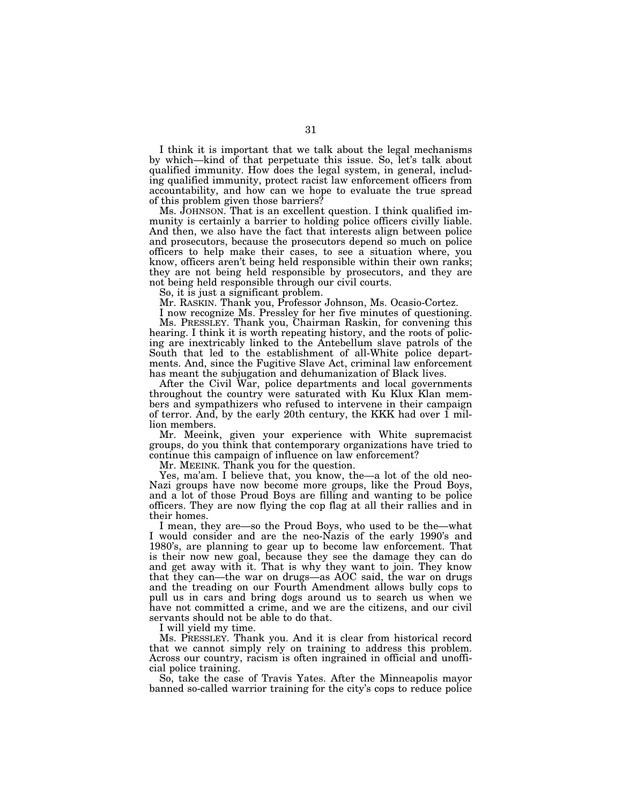I think it is important that we talk about the legal mechanisms by which—kind of that perpetuate this issue. So, let's talk about qualified immunity. How does the legal system, in general, including qualified immunity, protect racist law enforcement officers from accountability, and how can we hope to evaluate the true spread of this problem given those barriers?

Ms. JOHNSON. That is an excellent question. I think qualified immunity is certainly a barrier to holding police officers civilly liable. And then, we also have the fact that interests align between police and prosecutors, because the prosecutors depend so much on police officers to help make their cases, to see a situation where, you know, officers aren't being held responsible within their own ranks; they are not being held responsible by prosecutors, and they are not being held responsible through our civil courts.

So, it is just a significant problem.

Mr. RASKIN. Thank you, Professor Johnson, Ms. Ocasio-Cortez.

I now recognize Ms. Pressley for her five minutes of questioning. Ms. PRESSLEY. Thank you, Chairman Raskin, for convening this hearing. I think it is worth repeating history, and the roots of policing are inextricably linked to the Antebellum slave patrols of the South that led to the establishment of all-White police departments. And, since the Fugitive Slave Act, criminal law enforcement has meant the subjugation and dehumanization of Black lives.

After the Civil War, police departments and local governments throughout the country were saturated with Ku Klux Klan members and sympathizers who refused to intervene in their campaign of terror. And, by the early 20th century, the KKK had over 1 million members.

Mr. Meeink, given your experience with White supremacist groups, do you think that contemporary organizations have tried to continue this campaign of influence on law enforcement?

Mr. MEEINK. Thank you for the question.

Yes, ma'am. I believe that, you know, the—a lot of the old neo-Nazi groups have now become more groups, like the Proud Boys, and a lot of those Proud Boys are filling and wanting to be police officers. They are now flying the cop flag at all their rallies and in their homes.

I mean, they are—so the Proud Boys, who used to be the—what I would consider and are the neo-Nazis of the early 1990's and 1980's, are planning to gear up to become law enforcement. That is their now new goal, because they see the damage they can do and get away with it. That is why they want to join. They know that they can—the war on drugs—as AOC said, the war on drugs and the treading on our Fourth Amendment allows bully cops to pull us in cars and bring dogs around us to search us when we have not committed a crime, and we are the citizens, and our civil servants should not be able to do that.

I will yield my time.

Ms. PRESSLEY. Thank you. And it is clear from historical record that we cannot simply rely on training to address this problem. Across our country, racism is often ingrained in official and unofficial police training.

So, take the case of Travis Yates. After the Minneapolis mayor banned so-called warrior training for the city's cops to reduce police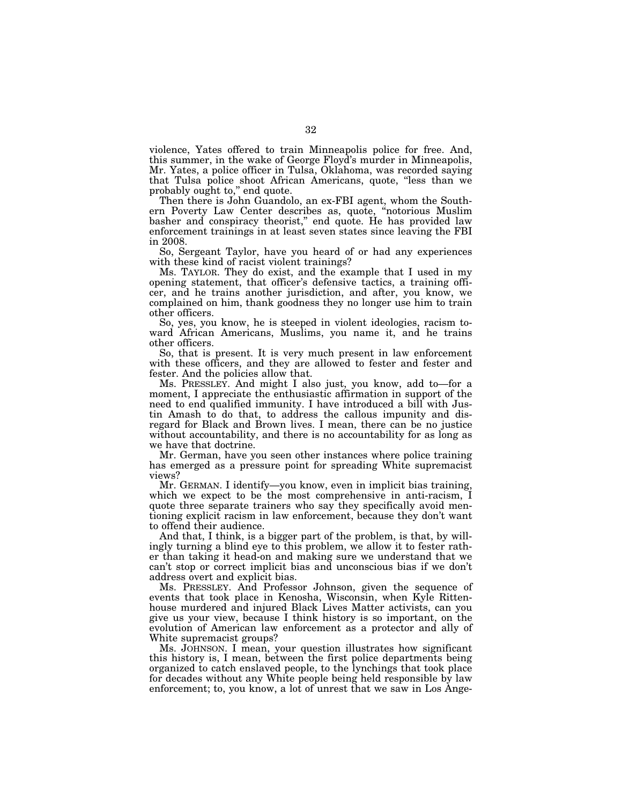violence, Yates offered to train Minneapolis police for free. And, this summer, in the wake of George Floyd's murder in Minneapolis, Mr. Yates, a police officer in Tulsa, Oklahoma, was recorded saying that Tulsa police shoot African Americans, quote, ''less than we probably ought to," end quote.

Then there is John Guandolo, an ex-FBI agent, whom the Southern Poverty Law Center describes as, quote, ''notorious Muslim basher and conspiracy theorist," end quote. He has provided law enforcement trainings in at least seven states since leaving the FBI in 2008.

So, Sergeant Taylor, have you heard of or had any experiences with these kind of racist violent trainings?

Ms. TAYLOR. They do exist, and the example that I used in my opening statement, that officer's defensive tactics, a training officer, and he trains another jurisdiction, and after, you know, we complained on him, thank goodness they no longer use him to train other officers.

So, yes, you know, he is steeped in violent ideologies, racism toward African Americans, Muslims, you name it, and he trains other officers.

So, that is present. It is very much present in law enforcement with these officers, and they are allowed to fester and fester and fester. And the policies allow that.

Ms. PRESSLEY. And might I also just, you know, add to—for a moment, I appreciate the enthusiastic affirmation in support of the need to end qualified immunity. I have introduced a bill with Justin Amash to do that, to address the callous impunity and disregard for Black and Brown lives. I mean, there can be no justice without accountability, and there is no accountability for as long as we have that doctrine.

Mr. German, have you seen other instances where police training has emerged as a pressure point for spreading White supremacist views?

Mr. GERMAN. I identify—you know, even in implicit bias training, which we expect to be the most comprehensive in anti-racism, I quote three separate trainers who say they specifically avoid mentioning explicit racism in law enforcement, because they don't want to offend their audience.

And that, I think, is a bigger part of the problem, is that, by willingly turning a blind eye to this problem, we allow it to fester rather than taking it head-on and making sure we understand that we can't stop or correct implicit bias and unconscious bias if we don't address overt and explicit bias.

Ms. PRESSLEY. And Professor Johnson, given the sequence of events that took place in Kenosha, Wisconsin, when Kyle Rittenhouse murdered and injured Black Lives Matter activists, can you give us your view, because I think history is so important, on the evolution of American law enforcement as a protector and ally of White supremacist groups?

Ms. JOHNSON. I mean, your question illustrates how significant this history is, I mean, between the first police departments being organized to catch enslaved people, to the lynchings that took place for decades without any White people being held responsible by law enforcement; to, you know, a lot of unrest that we saw in Los Ange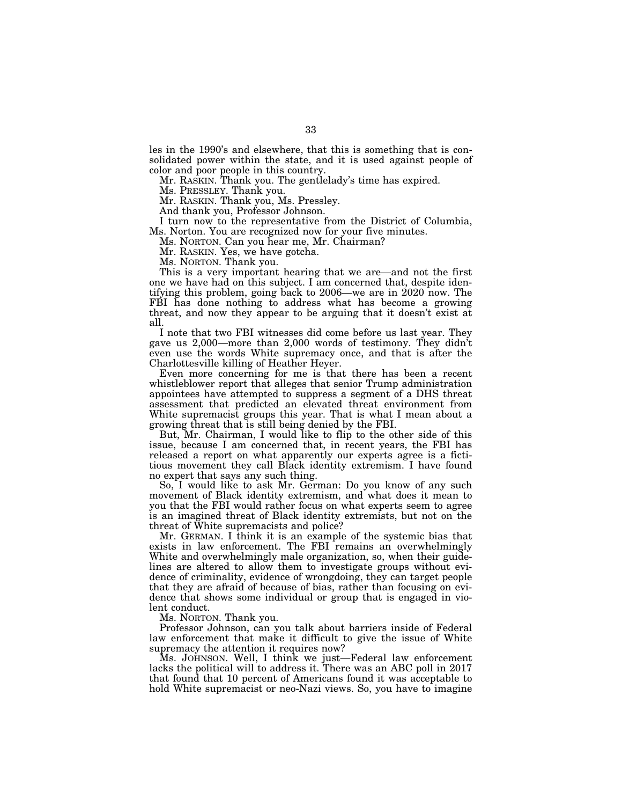les in the 1990's and elsewhere, that this is something that is consolidated power within the state, and it is used against people of color and poor people in this country.

Mr. RASKIN. Thank you. The gentlelady's time has expired.

Ms. PRESSLEY. Thank you.

Mr. RASKIN. Thank you, Ms. Pressley.

And thank you, Professor Johnson.

I turn now to the representative from the District of Columbia, Ms. Norton. You are recognized now for your five minutes.

Ms. NORTON. Can you hear me, Mr. Chairman?

Mr. RASKIN. Yes, we have gotcha.

Ms. NORTON. Thank you.

This is a very important hearing that we are—and not the first one we have had on this subject. I am concerned that, despite identifying this problem, going back to 2006—we are in 2020 now. The FBI has done nothing to address what has become a growing threat, and now they appear to be arguing that it doesn't exist at all.

I note that two FBI witnesses did come before us last year. They gave us 2,000—more than 2,000 words of testimony. They didn't even use the words White supremacy once, and that is after the Charlottesville killing of Heather Heyer.

Even more concerning for me is that there has been a recent whistleblower report that alleges that senior Trump administration appointees have attempted to suppress a segment of a DHS threat assessment that predicted an elevated threat environment from White supremacist groups this year. That is what I mean about a growing threat that is still being denied by the FBI.

But, Mr. Chairman, I would like to flip to the other side of this issue, because I am concerned that, in recent years, the FBI has released a report on what apparently our experts agree is a fictitious movement they call Black identity extremism. I have found no expert that says any such thing.

So, I would like to ask Mr. German: Do you know of any such movement of Black identity extremism, and what does it mean to you that the FBI would rather focus on what experts seem to agree is an imagined threat of Black identity extremists, but not on the threat of White supremacists and police?

Mr. GERMAN. I think it is an example of the systemic bias that exists in law enforcement. The FBI remains an overwhelmingly White and overwhelmingly male organization, so, when their guidelines are altered to allow them to investigate groups without evidence of criminality, evidence of wrongdoing, they can target people that they are afraid of because of bias, rather than focusing on evidence that shows some individual or group that is engaged in violent conduct.

Ms. NORTON. Thank you.

Professor Johnson, can you talk about barriers inside of Federal law enforcement that make it difficult to give the issue of White supremacy the attention it requires now?

Ms. JOHNSON. Well, I think we just—Federal law enforcement lacks the political will to address it. There was an ABC poll in 2017 that found that 10 percent of Americans found it was acceptable to hold White supremacist or neo-Nazi views. So, you have to imagine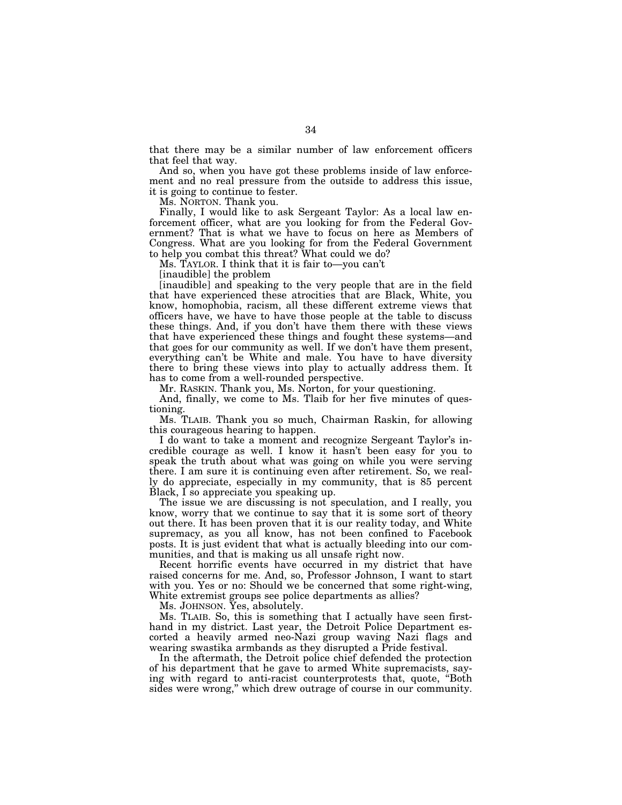that there may be a similar number of law enforcement officers that feel that way.

And so, when you have got these problems inside of law enforcement and no real pressure from the outside to address this issue, it is going to continue to fester.

Ms. NORTON. Thank you.

Finally, I would like to ask Sergeant Taylor: As a local law enforcement officer, what are you looking for from the Federal Government? That is what we have to focus on here as Members of Congress. What are you looking for from the Federal Government to help you combat this threat? What could we do?

Ms. TAYLOR. I think that it is fair to—you can't

[inaudible] the problem

[inaudible] and speaking to the very people that are in the field that have experienced these atrocities that are Black, White, you know, homophobia, racism, all these different extreme views that officers have, we have to have those people at the table to discuss these things. And, if you don't have them there with these views that have experienced these things and fought these systems—and that goes for our community as well. If we don't have them present, everything can't be White and male. You have to have diversity there to bring these views into play to actually address them. It has to come from a well-rounded perspective.

Mr. RASKIN. Thank you, Ms. Norton, for your questioning.

And, finally, we come to Ms. Tlaib for her five minutes of questioning.

Ms. TLAIB. Thank you so much, Chairman Raskin, for allowing this courageous hearing to happen.

I do want to take a moment and recognize Sergeant Taylor's incredible courage as well. I know it hasn't been easy for you to speak the truth about what was going on while you were serving there. I am sure it is continuing even after retirement. So, we really do appreciate, especially in my community, that is 85 percent Black, I so appreciate you speaking up.

The issue we are discussing is not speculation, and I really, you know, worry that we continue to say that it is some sort of theory out there. It has been proven that it is our reality today, and White supremacy, as you all know, has not been confined to Facebook posts. It is just evident that what is actually bleeding into our communities, and that is making us all unsafe right now.

Recent horrific events have occurred in my district that have raised concerns for me. And, so, Professor Johnson, I want to start with you. Yes or no: Should we be concerned that some right-wing, White extremist groups see police departments as allies?

Ms. JOHNSON. Yes, absolutely.

Ms. TLAIB. So, this is something that I actually have seen firsthand in my district. Last year, the Detroit Police Department escorted a heavily armed neo-Nazi group waving Nazi flags and wearing swastika armbands as they disrupted a Pride festival.

In the aftermath, the Detroit police chief defended the protection of his department that he gave to armed White supremacists, saying with regard to anti-racist counterprotests that, quote, ''Both sides were wrong,'' which drew outrage of course in our community.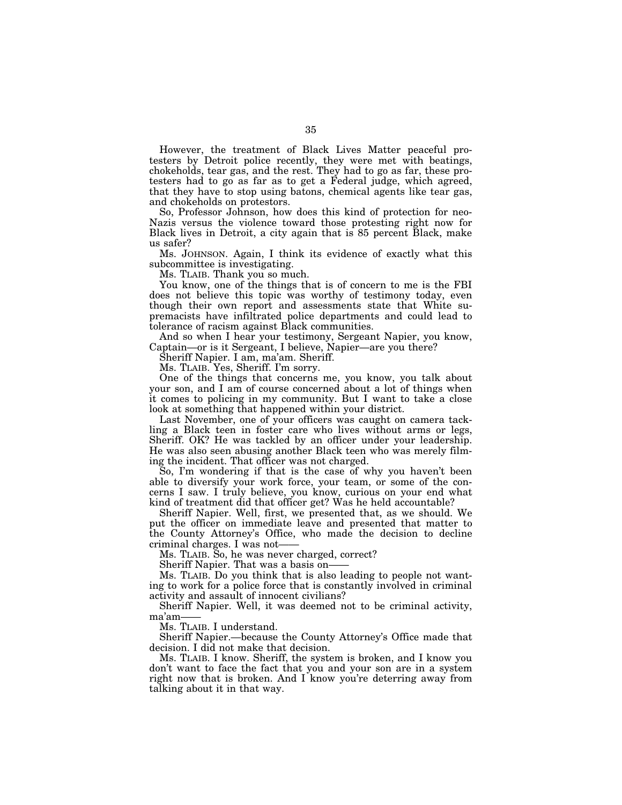However, the treatment of Black Lives Matter peaceful protesters by Detroit police recently, they were met with beatings, chokeholds, tear gas, and the rest. They had to go as far, these protesters had to go as far as to get a Federal judge, which agreed, that they have to stop using batons, chemical agents like tear gas, and chokeholds on protestors.

So, Professor Johnson, how does this kind of protection for neo-Nazis versus the violence toward those protesting right now for Black lives in Detroit, a city again that is 85 percent Black, make us safer?

Ms. JOHNSON. Again, I think its evidence of exactly what this subcommittee is investigating.

Ms. TLAIB. Thank you so much.

You know, one of the things that is of concern to me is the FBI does not believe this topic was worthy of testimony today, even though their own report and assessments state that White supremacists have infiltrated police departments and could lead to tolerance of racism against Black communities.

And so when I hear your testimony, Sergeant Napier, you know, Captain—or is it Sergeant, I believe, Napier—are you there?

Sheriff Napier. I am, ma'am. Sheriff.

Ms. TLAIB. Yes, Sheriff. I'm sorry.

One of the things that concerns me, you know, you talk about your son, and I am of course concerned about a lot of things when it comes to policing in my community. But I want to take a close look at something that happened within your district.

Last November, one of your officers was caught on camera tackling a Black teen in foster care who lives without arms or legs, Sheriff. OK? He was tackled by an officer under your leadership. He was also seen abusing another Black teen who was merely filming the incident. That officer was not charged.

So, I'm wondering if that is the case of why you haven't been able to diversify your work force, your team, or some of the concerns I saw. I truly believe, you know, curious on your end what kind of treatment did that officer get? Was he held accountable?

Sheriff Napier. Well, first, we presented that, as we should. We put the officer on immediate leave and presented that matter to the County Attorney's Office, who made the decision to decline criminal charges. I was not——

Ms. TLAIB. So, he was never charged, correct?

Sheriff Napier. That was a basis on-

Ms. TLAIB. Do you think that is also leading to people not wanting to work for a police force that is constantly involved in criminal activity and assault of innocent civilians?

Sheriff Napier. Well, it was deemed not to be criminal activity, ma'am——

Ms. TLAIB. I understand.

Sheriff Napier.—because the County Attorney's Office made that decision. I did not make that decision.

Ms. TLAIB. I know. Sheriff, the system is broken, and I know you don't want to face the fact that you and your son are in a system right now that is broken. And I know you're deterring away from talking about it in that way.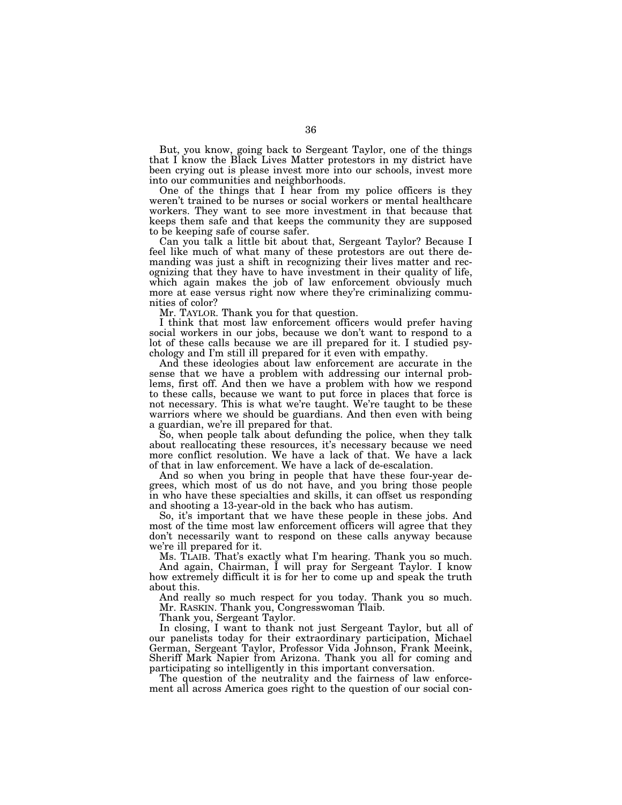But, you know, going back to Sergeant Taylor, one of the things that I know the Black Lives Matter protestors in my district have been crying out is please invest more into our schools, invest more into our communities and neighborhoods.

One of the things that I hear from my police officers is they weren't trained to be nurses or social workers or mental healthcare workers. They want to see more investment in that because that keeps them safe and that keeps the community they are supposed to be keeping safe of course safer.

Can you talk a little bit about that, Sergeant Taylor? Because I feel like much of what many of these protestors are out there demanding was just a shift in recognizing their lives matter and recognizing that they have to have investment in their quality of life, which again makes the job of law enforcement obviously much more at ease versus right now where they're criminalizing communities of color?

Mr. TAYLOR. Thank you for that question.

I think that most law enforcement officers would prefer having social workers in our jobs, because we don't want to respond to a lot of these calls because we are ill prepared for it. I studied psychology and I'm still ill prepared for it even with empathy.

And these ideologies about law enforcement are accurate in the sense that we have a problem with addressing our internal problems, first off. And then we have a problem with how we respond to these calls, because we want to put force in places that force is not necessary. This is what we're taught. We're taught to be these warriors where we should be guardians. And then even with being a guardian, we're ill prepared for that.

So, when people talk about defunding the police, when they talk about reallocating these resources, it's necessary because we need more conflict resolution. We have a lack of that. We have a lack of that in law enforcement. We have a lack of de-escalation.

And so when you bring in people that have these four-year degrees, which most of us do not have, and you bring those people in who have these specialties and skills, it can offset us responding and shooting a 13-year-old in the back who has autism.

So, it's important that we have these people in these jobs. And most of the time most law enforcement officers will agree that they don't necessarily want to respond on these calls anyway because we're ill prepared for it.

Ms. TLAIB. That's exactly what I'm hearing. Thank you so much. And again, Chairman, I will pray for Sergeant Taylor. I know how extremely difficult it is for her to come up and speak the truth about this.

And really so much respect for you today. Thank you so much. Mr. RASKIN. Thank you, Congresswoman Tlaib.

Thank you, Sergeant Taylor.

In closing, I want to thank not just Sergeant Taylor, but all of our panelists today for their extraordinary participation, Michael German, Sergeant Taylor, Professor Vida Johnson, Frank Meeink, Sheriff Mark Napier from Arizona. Thank you all for coming and participating so intelligently in this important conversation.

The question of the neutrality and the fairness of law enforcement all across America goes right to the question of our social con